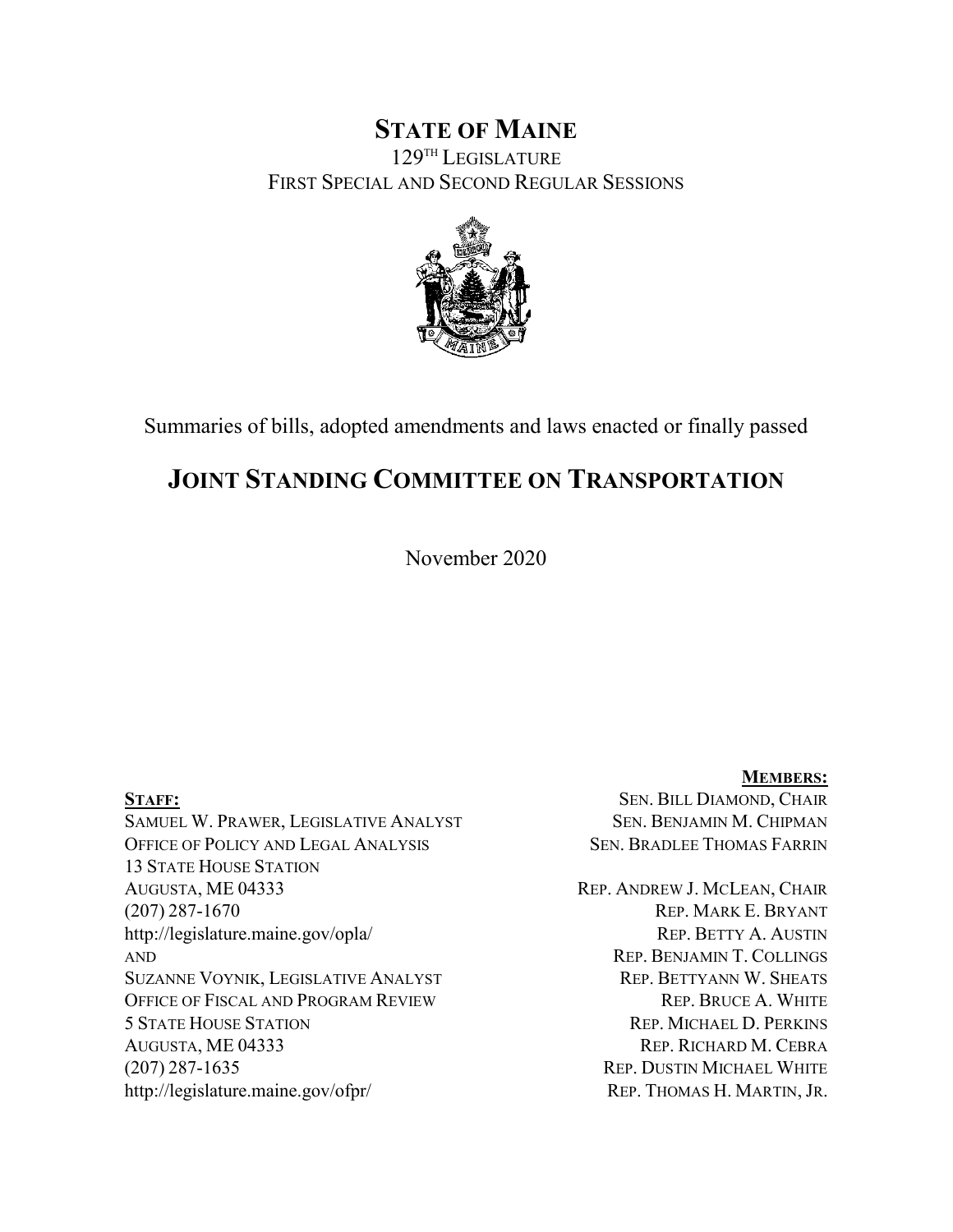# **STATE OF MAINE** 129TH LEGISLATURE FIRST SPECIAL AND SECOND REGULAR SESSIONS



Summaries of bills, adopted amendments and laws enacted or finally passed

# **JOINT STANDING COMMITTEE ON TRANSPORTATION**

November 2020

SAMUEL W. PRAWER, LEGISLATIVE ANALYST SEN. BENJAMIN M. CHIPMAN OFFICE OF POLICY AND LEGAL ANALYSIS SEN. BRADLEE THOMAS FARRIN 13 STATE HOUSE STATION AUGUSTA, ME 04333 REP. ANDREW J. MCLEAN, CHAIR (207) 287-1670 REP. MARK E. BRYANT http://legislature.maine.gov/opla/ REP. BETTY A. AUSTIN AND **REP. BENJAMIN T. COLLINGS** SUZANNE VOYNIK, LEGISLATIVE ANALYST REP. BETTYANN W. SHEATS OFFICE OF FISCAL AND PROGRAM REVIEW REP. BRUCE A. WHITE 5 STATE HOUSE STATION REP. MICHAEL D. PERKINS AUGUSTA, ME 04333 REP. RICHARD M. CEBRA (207) 287-1635 REP. DUSTIN MICHAEL WHITE http://legislature.maine.gov/ofpr/ REP. THOMAS H. MARTIN, JR.

**MEMBERS:** STAFF: STAFF: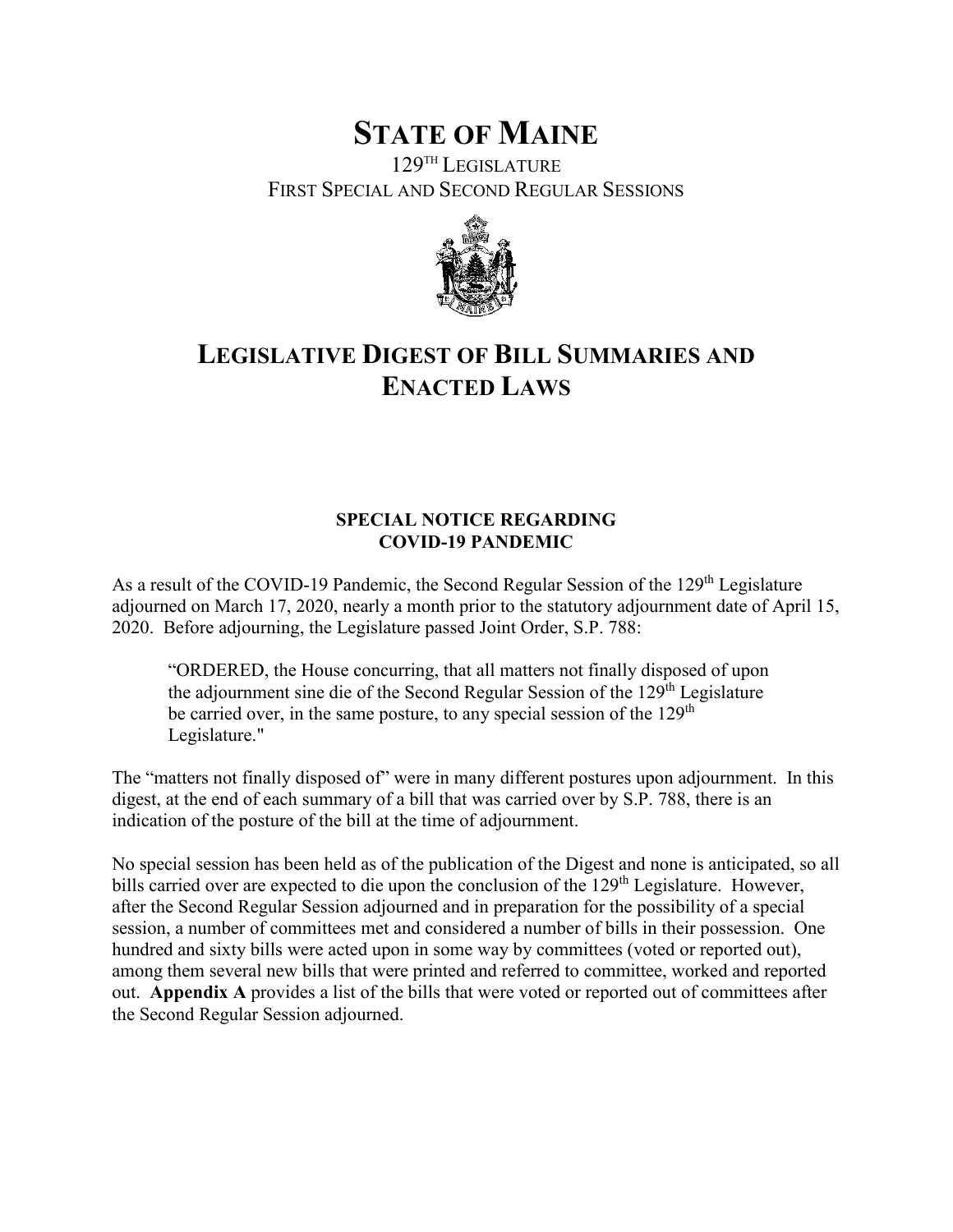# **STATE OF MAINE**

129TH LEGISLATURE FIRST SPECIAL AND SECOND REGULAR SESSIONS



# **LEGISLATIVE DIGEST OF BILL SUMMARIES AND ENACTED LAWS**

### **SPECIAL NOTICE REGARDING COVID-19 PANDEMIC**

As a result of the COVID-19 Pandemic, the Second Regular Session of the 129<sup>th</sup> Legislature adjourned on March 17, 2020, nearly a month prior to the statutory adjournment date of April 15, 2020. Before adjourning, the Legislature passed Joint Order, S.P. 788:

"ORDERED, the House concurring, that all matters not finally disposed of upon the adjournment sine die of the Second Regular Session of the 129<sup>th</sup> Legislature be carried over, in the same posture, to any special session of the  $129<sup>th</sup>$ Legislature."

The "matters not finally disposed of" were in many different postures upon adjournment. In this digest, at the end of each summary of a bill that was carried over by S.P. 788, there is an indication of the posture of the bill at the time of adjournment.

No special session has been held as of the publication of the Digest and none is anticipated, so all bills carried over are expected to die upon the conclusion of the  $129<sup>th</sup>$  Legislature. However, after the Second Regular Session adjourned and in preparation for the possibility of a special session, a number of committees met and considered a number of bills in their possession. One hundred and sixty bills were acted upon in some way by committees (voted or reported out), among them several new bills that were printed and referred to committee, worked and reported out. **Appendix A** provides a list of the bills that were voted or reported out of committees after the Second Regular Session adjourned.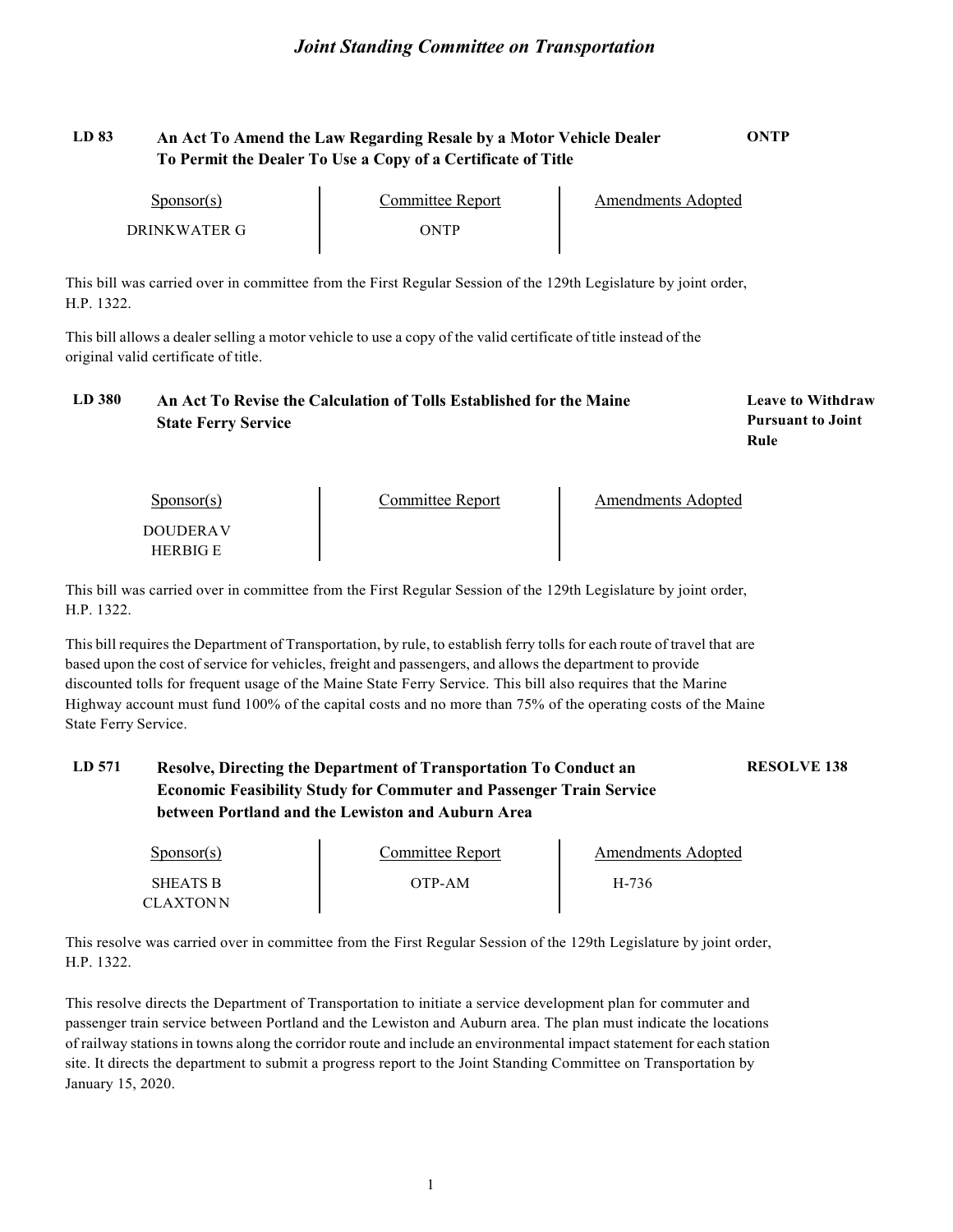#### **LD 83 An Act To Amend the Law Regarding Resale by a Motor Vehicle Dealer To Permit the Dealer To Use a Copy of a Certificate of Title ONTP**

| $S_{\text{ponsor}}(s)$ | Committee Report | Amendments Adopted |
|------------------------|------------------|--------------------|
| DRINKWATER G           | ANTP             |                    |

This bill was carried over in committee from the First Regular Session of the 129th Legislature by joint order, H.P. 1322.

This bill allows a dealer selling a motor vehicle to use a copy of the valid certificate of title instead of the original valid certificate of title.

| <b>LD</b> 380 | An Act To Revise the Calculation of Tolls Established for the Maine | <b>Leave to Withdraw</b> |
|---------------|---------------------------------------------------------------------|--------------------------|
|               | <b>State Ferry Service</b>                                          | <b>Pursuant to Joint</b> |
|               |                                                                     | Rule                     |
|               |                                                                     |                          |

| $S_{\text{PON}(\text{s})}$ | Committee Report | Amendments Adopted |
|----------------------------|------------------|--------------------|
| DOUDER A V                 |                  |                    |
| <b>HERRIGE</b>             |                  |                    |

This bill was carried over in committee from the First Regular Session of the 129th Legislature by joint order, H.P. 1322.

This bill requires the Department of Transportation, by rule, to establish ferry tolls for each route of travel that are based upon the cost of service for vehicles, freight and passengers, and allows the department to provide discounted tolls for frequent usage of the Maine State Ferry Service. This bill also requires that the Marine Highway account must fund 100% of the capital costs and no more than 75% of the operating costs of the Maine State Ferry Service.

#### **LD 571 Resolve, Directing the Department of Transportation To Conduct an Economic Feasibility Study for Commuter and Passenger Train Service between Portland and the Lewiston and Auburn Area RESOLVE 138**

| $S_{\text{ponsor}}(s)$ | Committee Report | Amendments Adopted |
|------------------------|------------------|--------------------|
| SHEATS R<br>CLAXTONN   | OTP-AM           | H-736              |

This resolve was carried over in committee from the First Regular Session of the 129th Legislature by joint order, H.P. 1322.

This resolve directs the Department of Transportation to initiate a service development plan for commuter and passenger train service between Portland and the Lewiston and Auburn area. The plan must indicate the locations of railway stations in towns along the corridor route and include an environmental impact statement for each station site. It directs the department to submit a progress report to the Joint Standing Committee on Transportation by January 15, 2020.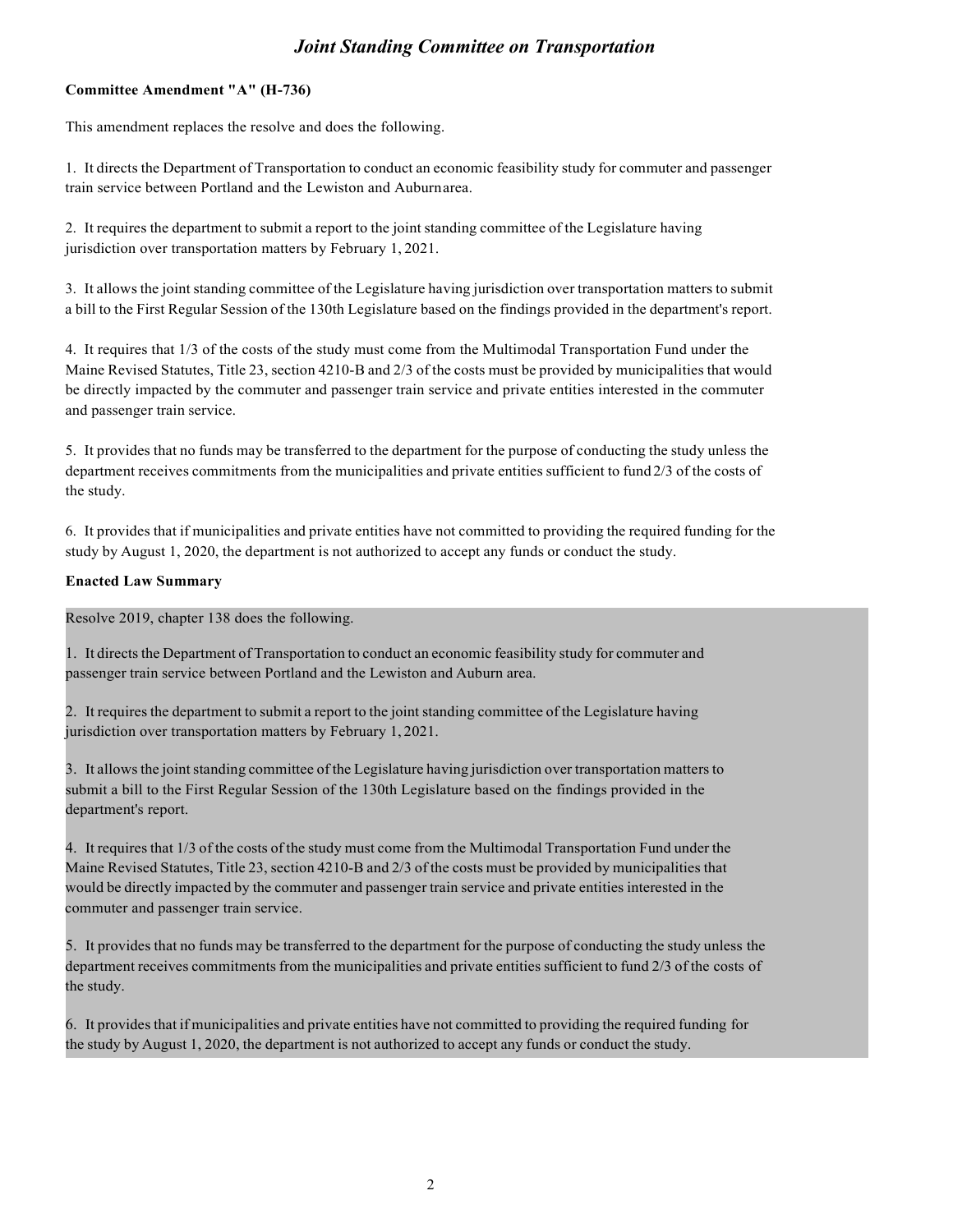#### **Committee Amendment "A" (H-736)**

This amendment replaces the resolve and does the following.

1. It directs the Department of Transportation to conduct an economic feasibility study for commuter and passenger train service between Portland and the Lewiston and Auburnarea.

2. It requires the department to submit a report to the joint standing committee of the Legislature having jurisdiction over transportation matters by February 1, 2021.

3. It allows the joint standing committee of the Legislature having jurisdiction over transportation matters to submit a bill to the First Regular Session of the 130th Legislature based on the findings provided in the department's report.

4. It requires that 1/3 of the costs of the study must come from the Multimodal Transportation Fund under the Maine Revised Statutes, Title 23, section 4210-B and 2/3 of the costs must be provided by municipalities that would be directly impacted by the commuter and passenger train service and private entities interested in the commuter and passenger train service.

5. It provides that no funds may be transferred to the department for the purpose of conducting the study unless the department receives commitments from the municipalities and private entities sufficient to fund 2/3 of the costs of the study.

6. It provides that if municipalities and private entities have not committed to providing the required funding for the study by August 1, 2020, the department is not authorized to accept any funds or conduct the study.

#### **Enacted Law Summary**

Resolve 2019, chapter 138 does the following.

1. It directsthe Department of Transportation to conduct an economic feasibility study for commuter and passenger train service between Portland and the Lewiston and Auburn area.

2. It requires the department to submit a report to the joint standing committee of the Legislature having jurisdiction over transportation matters by February 1, 2021.

3. It allows the joint standing committee of the Legislature having jurisdiction over transportation matters to submit a bill to the First Regular Session of the 130th Legislature based on the findings provided in the department's report.

4. It requires that 1/3 of the costs of the study must come from the Multimodal Transportation Fund under the Maine Revised Statutes, Title 23, section 4210-B and 2/3 of the costs must be provided by municipalities that would be directly impacted by the commuter and passenger train service and private entities interested in the commuter and passenger train service.

5. It provides that no funds may be transferred to the department for the purpose of conducting the study unless the department receives commitments from the municipalities and private entities sufficient to fund 2/3 of the costs of the study.

6. It providesthat if municipalities and private entities have not committed to providing the required funding for the study by August 1, 2020, the department is not authorized to accept any funds or conduct the study.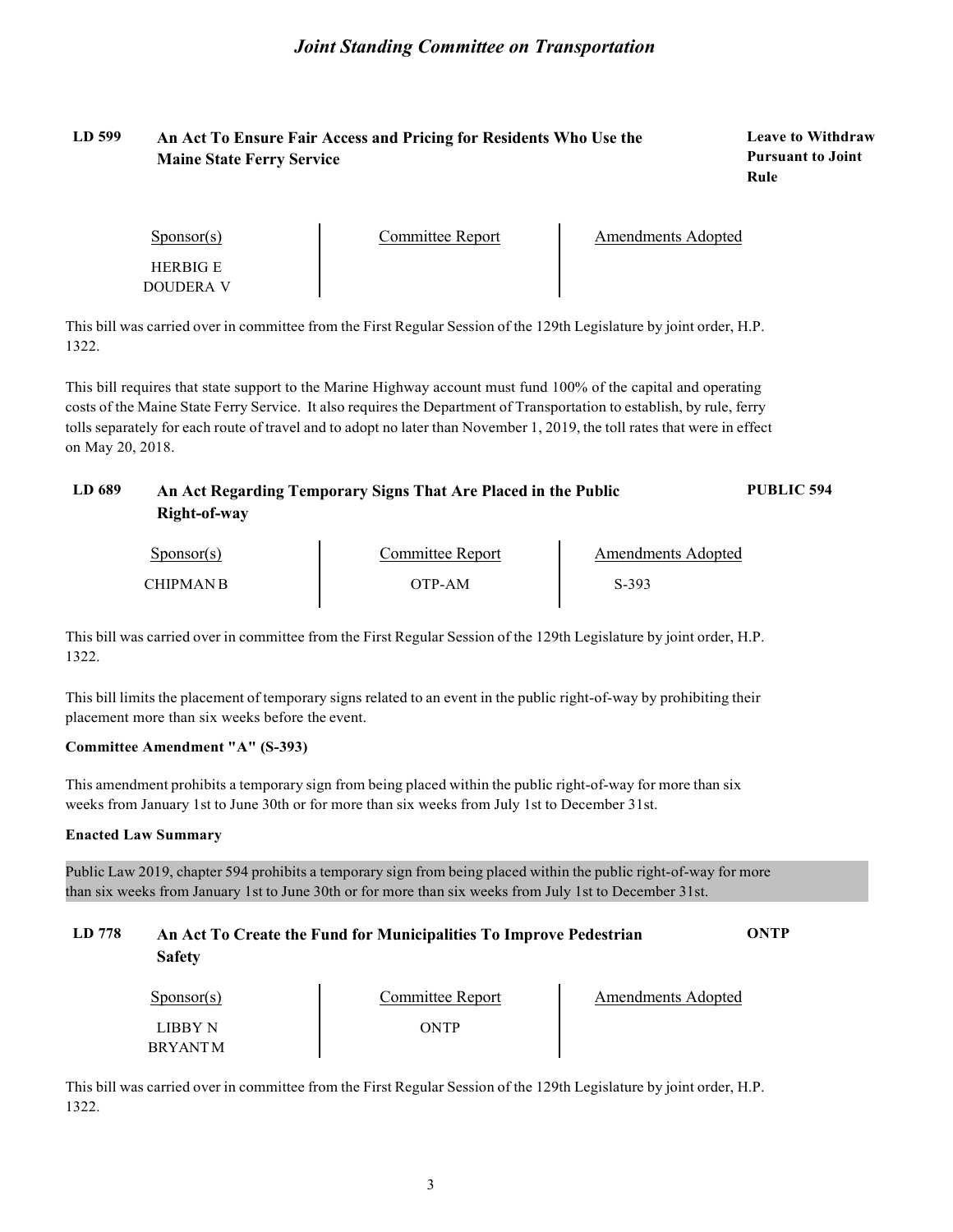#### **LD 599 An Act To Ensure Fair Access and Pricing for Residents Who Use the Maine State Ferry Service**

**Leave to Withdraw Pursuant to Joint Rule**

| $S_{\text{ponsor}}(s)$ | Committee Report | Amendments Adopted |
|------------------------|------------------|--------------------|
| <b>HERRIGE</b>         |                  |                    |
| DOUDER A V             |                  |                    |

This bill was carried over in committee from the First Regular Session of the 129th Legislature by joint order, H.P. 1322.

This bill requires that state support to the Marine Highway account must fund 100% of the capital and operating costs of the Maine State Ferry Service. It also requires the Department of Transportation to establish, by rule, ferry tolls separately for each route of travel and to adopt no later than November 1, 2019, the toll rates that were in effect on May 20, 2018.

| LD 689 | An Act Regarding Temporary Signs That Are Placed in the Public | <b>PUBLIC 594</b> |
|--------|----------------------------------------------------------------|-------------------|
|        | Right-of-way                                                   |                   |

| $S_{\text{ponsor}(s)}$ | Committee Report | Amendments Adopted |
|------------------------|------------------|--------------------|
| <b>CHIPMAN R</b>       | OTP-AM           | $S-393$            |

This bill was carried over in committee from the First Regular Session of the 129th Legislature by joint order, H.P. 1322.

This bill limits the placement of temporary signs related to an event in the public right-of-way by prohibiting their placement more than six weeks before the event.

#### **Committee Amendment "A" (S-393)**

This amendment prohibits a temporary sign from being placed within the public right-of-way for more than six weeks from January 1st to June 30th or for more than six weeks from July 1st to December 31st.

#### **Enacted Law Summary**

Public Law 2019, chapter 594 prohibits a temporary sign from being placed within the public right-of-way for more than six weeks from January 1st to June 30th or for more than six weeks from July 1st to December 31st.

#### **LD 778 An Act To Create the Fund for Municipalities To Improve Pedestrian Safety ONTP**

| $S_{\text{ponsor}}(s)$     | Committee Report | Amendments Adopted |
|----------------------------|------------------|--------------------|
| <b>LIBRY N</b><br>BRYANT M | ONTP             |                    |

This bill was carried over in committee from the First Regular Session of the 129th Legislature by joint order, H.P. 1322.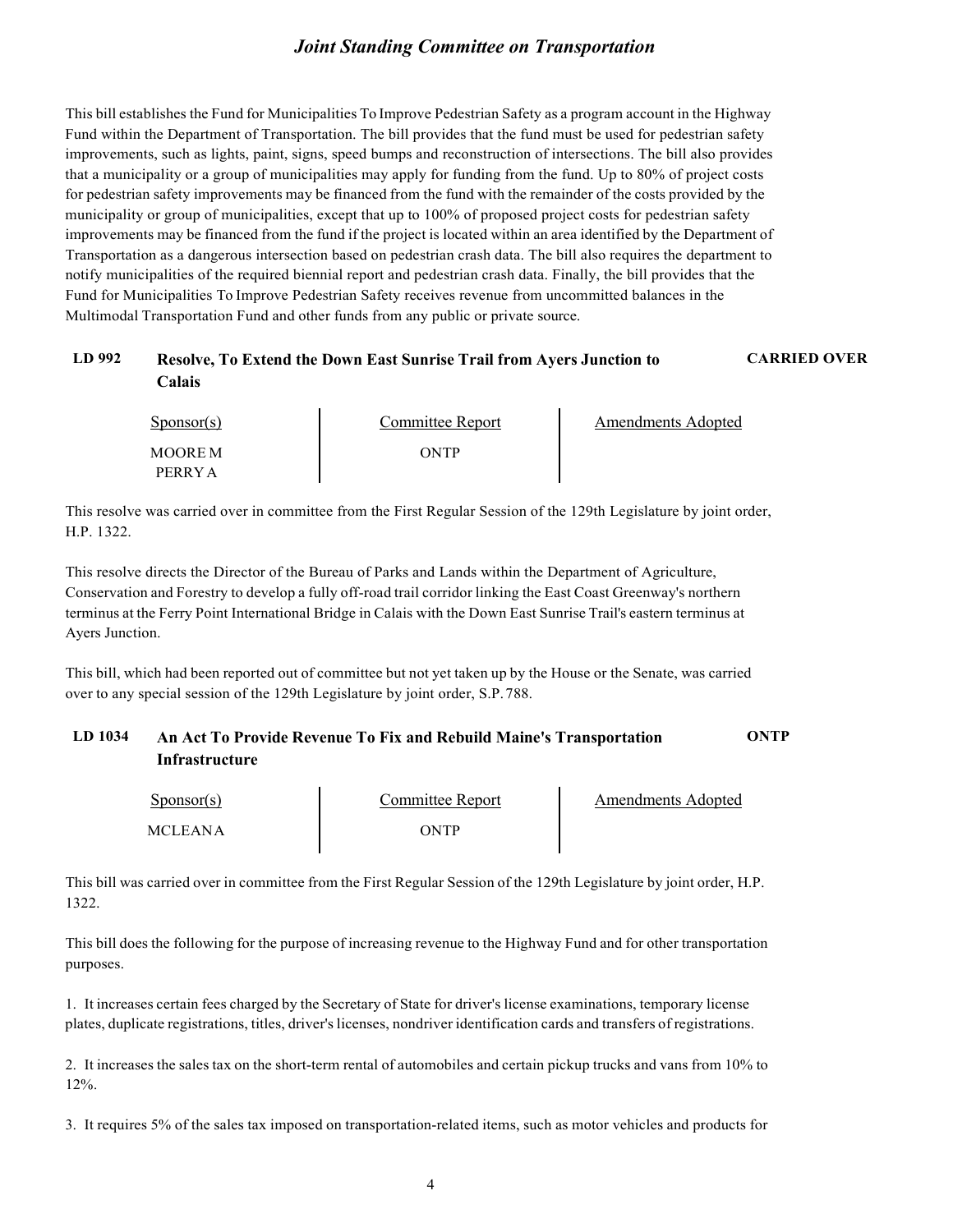This bill establishes the Fund for Municipalities To Improve Pedestrian Safety as a program account in the Highway Fund within the Department of Transportation. The bill provides that the fund must be used for pedestrian safety improvements, such as lights, paint, signs, speed bumps and reconstruction of intersections. The bill also provides that a municipality or a group of municipalities may apply for funding from the fund. Up to 80% of project costs for pedestrian safety improvements may be financed from the fund with the remainder of the costs provided by the municipality or group of municipalities, except that up to 100% of proposed project costs for pedestrian safety improvements may be financed from the fund if the project is located within an area identified by the Department of Transportation as a dangerous intersection based on pedestrian crash data. The bill also requires the department to notify municipalities of the required biennial report and pedestrian crash data. Finally, the bill provides that the Fund for Municipalities To Improve Pedestrian Safety receives revenue from uncommitted balances in the Multimodal Transportation Fund and other funds from any public or private source.

#### **LD 992 Resolve, To Extend the Down East Sunrise Trail from Ayers Junction to Calais**

| $S_{\text{ponsor}}(s)$ | Committee Report | Amendments Adopted |
|------------------------|------------------|--------------------|
| MOORE M                | NTP              |                    |
| PERRY A                |                  |                    |

**CARRIED OVER**

This resolve was carried over in committee from the First Regular Session of the 129th Legislature by joint order, H.P. 1322.

This resolve directs the Director of the Bureau of Parks and Lands within the Department of Agriculture, Conservation and Forestry to develop a fully off-road trail corridor linking the East Coast Greenway's northern terminus at the Ferry Point International Bridge in Calais with the Down East Sunrise Trail's eastern terminus at Ayers Junction.

This bill, which had been reported out of committee but not yet taken up by the House or the Senate, was carried over to any special session of the 129th Legislature by joint order, S.P.788.

#### **LD 1034 An Act To Provide Revenue To Fix and Rebuild Maine's Transportation Infrastructure ONTP**

| $S_{\text{ponsor}}(s)$ | Committee Report | Amendments Adopted |
|------------------------|------------------|--------------------|
| <b>MCLEANA</b>         | ONTP             |                    |

This bill was carried over in committee from the First Regular Session of the 129th Legislature by joint order, H.P. 1322.

This bill does the following for the purpose of increasing revenue to the Highway Fund and for other transportation purposes.

1. It increases certain fees charged by the Secretary of State for driver's license examinations, temporary license plates, duplicate registrations, titles, driver'slicenses, nondriver identification cards and transfers of registrations.

2. It increases the sales tax on the short-term rental of automobiles and certain pickup trucks and vans from 10% to 12%.

3. It requires 5% of the sales tax imposed on transportation-related items, such as motor vehicles and products for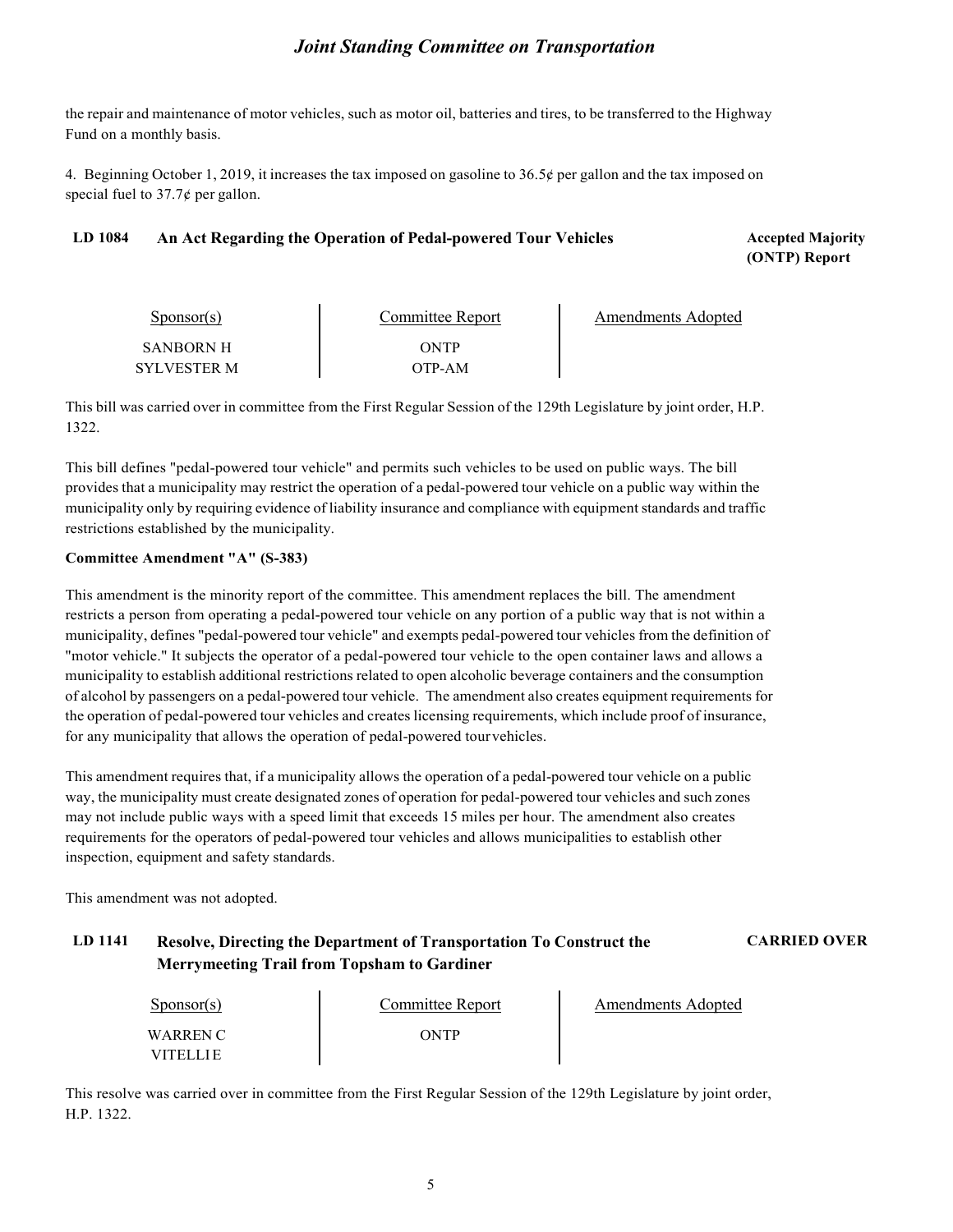the repair and maintenance of motor vehicles, such as motor oil, batteries and tires, to be transferred to the Highway Fund on a monthly basis.

4. Beginning October 1, 2019, it increases the tax imposed on gasoline to 36.5¢ per gallon and the tax imposed on special fuel to  $37.7\phi$  per gallon.

#### LD 1084 **An Act Regarding the Operation of Pedal-powered Tour Vehicles <b>Accepted Majority Accepted Majority**

**(ONTP) Report**

| $S_{\text{PON}(\text{s})}$ | Committee Report | Amendments Adopted |
|----------------------------|------------------|--------------------|
| SANRORN H                  | ONTP             |                    |
| SYLVESTER M                | OTP-AM           |                    |

This bill was carried over in committee from the First Regular Session of the 129th Legislature by joint order, H.P. 1322.

This bill defines "pedal-powered tour vehicle" and permits such vehicles to be used on public ways. The bill provides that a municipality may restrict the operation of a pedal-powered tour vehicle on a public way within the municipality only by requiring evidence of liability insurance and compliance with equipment standards and traffic restrictions established by the municipality.

#### **Committee Amendment "A" (S-383)**

This amendment is the minority report of the committee. This amendment replaces the bill. The amendment restricts a person from operating a pedal-powered tour vehicle on any portion of a public way that is not within a municipality, defines "pedal-powered tour vehicle" and exempts pedal-powered tour vehicles from the definition of "motor vehicle." It subjects the operator of a pedal-powered tour vehicle to the open container laws and allows a municipality to establish additional restrictions related to open alcoholic beverage containers and the consumption of alcohol by passengers on a pedal-powered tour vehicle. The amendment also creates equipment requirements for the operation of pedal-powered tour vehicles and creates licensing requirements, which include proof of insurance, for any municipality that allows the operation of pedal-powered tourvehicles.

This amendment requires that, if a municipality allows the operation of a pedal-powered tour vehicle on a public way, the municipality must create designated zones of operation for pedal-powered tour vehicles and such zones may not include public ways with a speed limit that exceeds 15 miles per hour. The amendment also creates requirements for the operators of pedal-powered tour vehicles and allows municipalities to establish other inspection, equipment and safety standards.

This amendment was not adopted.

#### **LD 1141 Resolve, Directing the Department of Transportation To Construct the Merrymeeting Trail from Topsham to Gardiner**

**CARRIED OVER**

| $S_{\text{ponsor}}(s)$ | Committee Report | Amendments Adopted |
|------------------------|------------------|--------------------|
| WARREN C<br>VITEI I LE |                  |                    |

This resolve was carried over in committee from the First Regular Session of the 129th Legislature by joint order, H.P. 1322.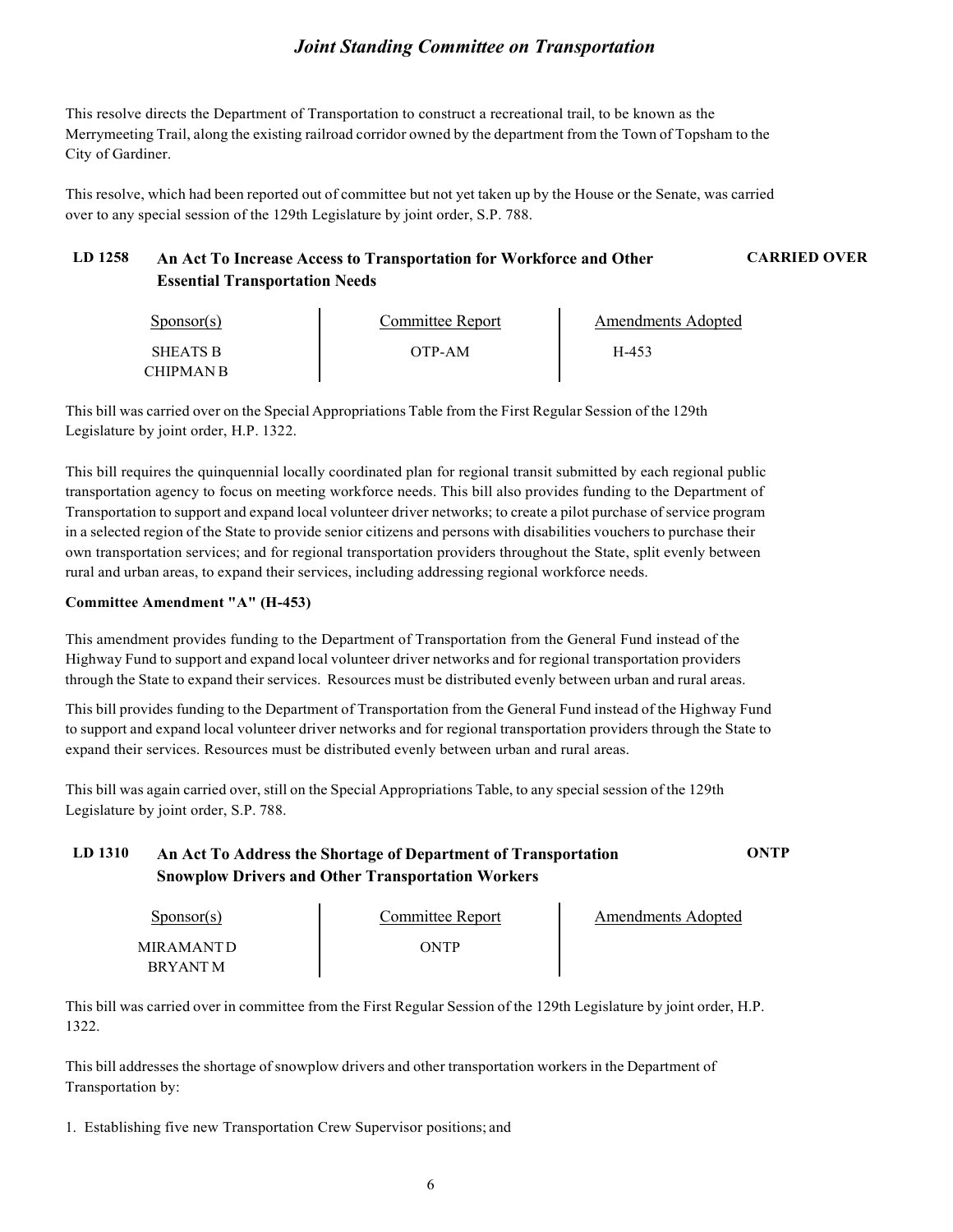This resolve directs the Department of Transportation to construct a recreational trail, to be known as the Merrymeeting Trail, along the existing railroad corridor owned by the department from the Town of Topsham to the City of Gardiner.

This resolve, which had been reported out of committee but not yet taken up by the House or the Senate, was carried over to any special session of the 129th Legislature by joint order, S.P. 788.

#### **LD 1258 An Act To Increase Access to Transportation for Workforce and Other Essential Transportation Needs CARRIED OVER**

Sponsor(s) SHEATS B CHIPMAN B Committee Report OTP-AM Amendments Adopted H-453

This bill was carried over on the Special Appropriations Table from the First Regular Session of the 129th Legislature by joint order, H.P. 1322.

This bill requires the quinquennial locally coordinated plan for regional transit submitted by each regional public transportation agency to focus on meeting workforce needs. This bill also provides funding to the Department of Transportation to support and expand local volunteer driver networks; to create a pilot purchase of service program in a selected region of the State to provide senior citizens and persons with disabilities vouchers to purchase their own transportation services; and for regional transportation providers throughout the State, split evenly between rural and urban areas, to expand their services, including addressing regional workforce needs.

#### **Committee Amendment "A" (H-453)**

This amendment provides funding to the Department of Transportation from the General Fund instead of the Highway Fund to support and expand local volunteer driver networks and for regional transportation providers through the State to expand their services. Resources must be distributed evenly between urban and rural areas.

This bill provides funding to the Department of Transportation from the General Fund instead of the Highway Fund to support and expand local volunteer driver networks and for regional transportation providers through the State to expand their services. Resources must be distributed evenly between urban and rural areas.

This bill was again carried over, still on the Special Appropriations Table, to any special session of the 129th Legislature by joint order, S.P. 788.

#### **LD 1310 An Act To Address the Shortage of Department of Transportation Snowplow Drivers and Other Transportation Workers ONTP**

| $S_{\text{ponsor}}(s)$ | Committee Report | Amendments Adopted |
|------------------------|------------------|--------------------|
| <b>MIRAMANTD</b>       | ONTP             |                    |
| <b>RRYANTM</b>         |                  |                    |

This bill was carried over in committee from the First Regular Session of the 129th Legislature by joint order, H.P. 1322.

This bill addresses the shortage of snowplow drivers and other transportation workers in the Department of Transportation by:

1. Establishing five new Transportation Crew Supervisor positions; and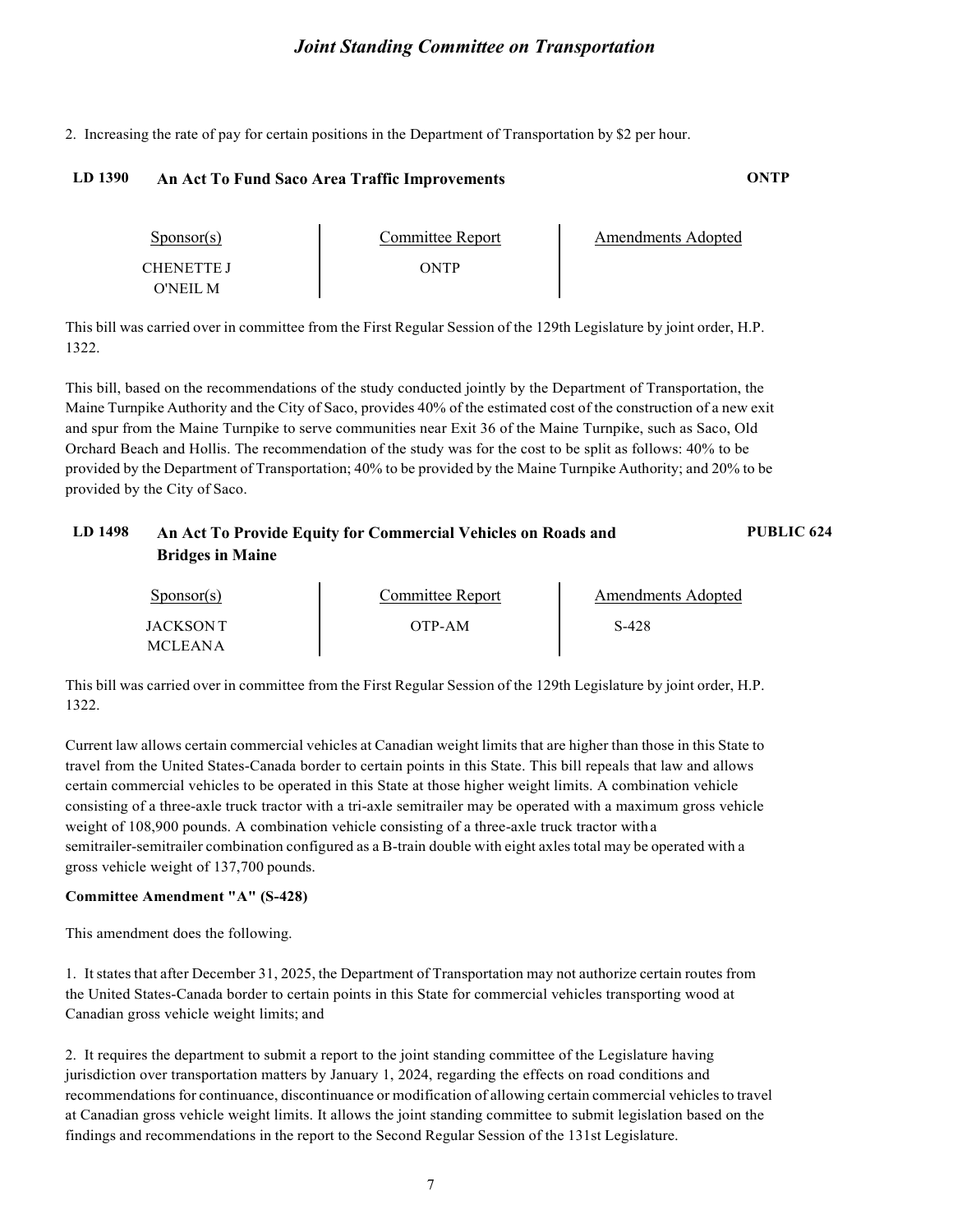2. Increasing the rate of pay for certain positions in the Department of Transportation by \$2 per hour.

#### **LD 1390 An Act To Fund Saco Area Traffic Improvements ONTP**

| $S_{\text{PON}(\text{s})}$ | Committee Report | Amendments Adopted |
|----------------------------|------------------|--------------------|
| CHENETTE I                 | ONTP             |                    |
| O'NEIL M                   |                  |                    |

This bill was carried over in committee from the First Regular Session of the 129th Legislature by joint order, H.P. 1322.

This bill, based on the recommendations of the study conducted jointly by the Department of Transportation, the Maine Turnpike Authority and the City of Saco, provides 40% of the estimated cost of the construction of a new exit and spur from the Maine Turnpike to serve communities near Exit 36 of the Maine Turnpike, such as Saco, Old Orchard Beach and Hollis. The recommendation of the study was for the cost to be split as follows: 40% to be provided by the Department of Transportation; 40% to be provided by the Maine Turnpike Authority; and 20% to be provided by the City of Saco.

#### **LD 1498 An Act To Provide Equity for Commercial Vehicles on Roads and Bridges in Maine PUBLIC 624**

| $S_{\text{ponsor}}(s)$ | Committee Report | Amendments Adopted |
|------------------------|------------------|--------------------|
| JACKSON T              | OTP-AM           | S-428              |
| <b>MCLEANA</b>         |                  |                    |

This bill was carried over in committee from the First Regular Session of the 129th Legislature by joint order, H.P. 1322.

Current law allows certain commercial vehicles at Canadian weight limits that are higher than those in this State to travel from the United States-Canada border to certain points in this State. This bill repeals that law and allows certain commercial vehicles to be operated in this State at those higher weight limits. A combination vehicle consisting of a three-axle truck tractor with a tri-axle semitrailer may be operated with a maximum gross vehicle weight of 108,900 pounds. A combination vehicle consisting of a three-axle truck tractor with a semitrailer-semitrailer combination configured as a B-train double with eight axles total may be operated with a gross vehicle weight of 137,700 pounds.

#### **Committee Amendment "A" (S-428)**

This amendment does the following.

1. It states that after December 31, 2025, the Department of Transportation may not authorize certain routes from the United States-Canada border to certain points in this State for commercial vehicles transporting wood at Canadian gross vehicle weight limits; and

2. It requires the department to submit a report to the joint standing committee of the Legislature having jurisdiction over transportation matters by January 1, 2024, regarding the effects on road conditions and recommendations for continuance, discontinuance or modification of allowing certain commercial vehiclesto travel at Canadian gross vehicle weight limits. It allows the joint standing committee to submit legislation based on the findings and recommendations in the report to the Second Regular Session of the 131st Legislature.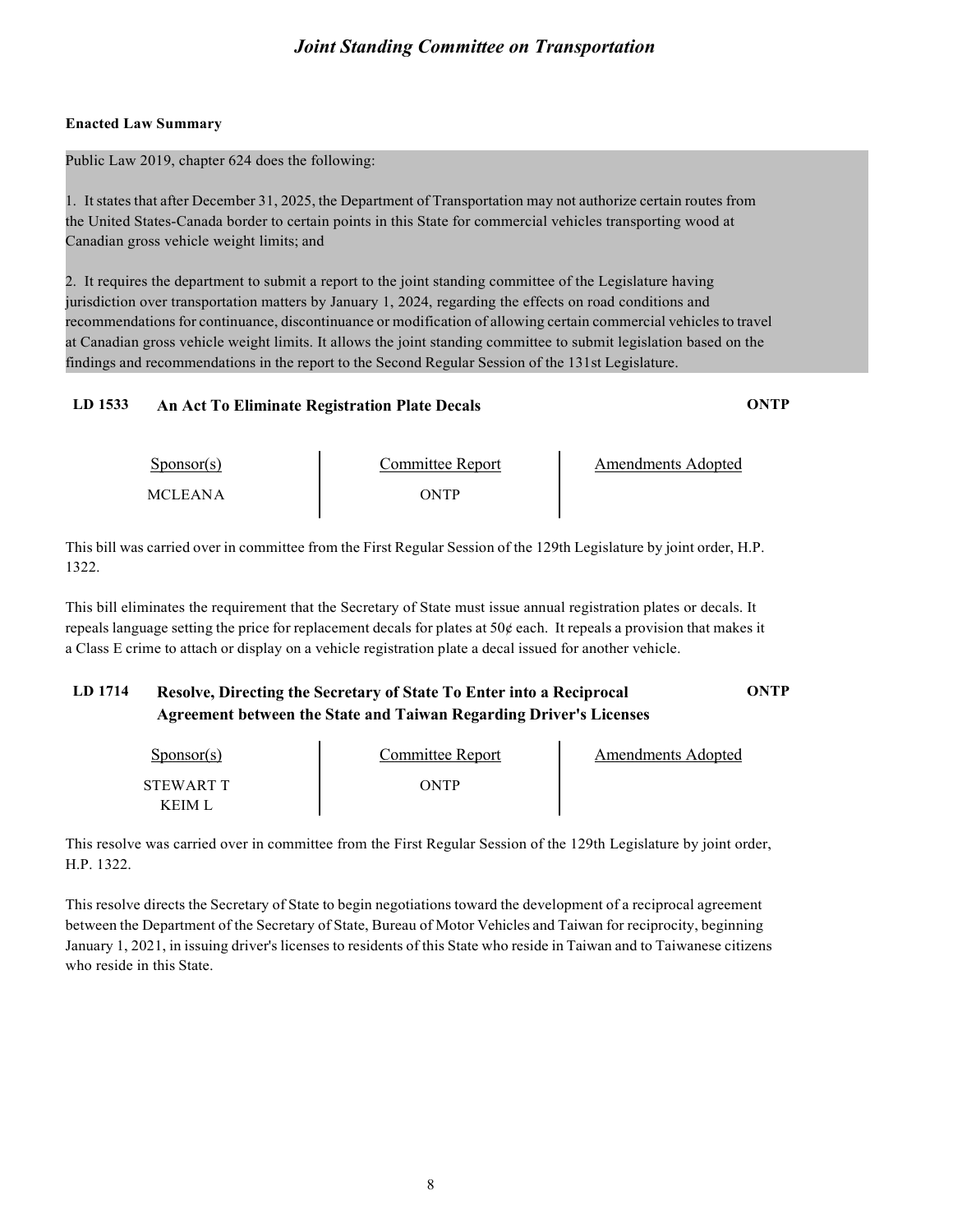#### **Enacted Law Summary**

Public Law 2019, chapter 624 does the following:

1. It states that after December 31, 2025, the Department of Transportation may not authorize certain routes from the United States-Canada border to certain points in this State for commercial vehicles transporting wood at Canadian gross vehicle weight limits; and

2. It requires the department to submit a report to the joint standing committee of the Legislature having jurisdiction over transportation matters by January 1, 2024, regarding the effects on road conditions and recommendations for continuance, discontinuance or modification of allowing certain commercial vehiclesto travel at Canadian gross vehicle weight limits. It allows the joint standing committee to submit legislation based on the findings and recommendations in the report to the Second Regular Session of the 131st Legislature.

#### **LD 1533 An Act To Eliminate Registration Plate Decals ONTP**

Sponsor(s) MCLEANA Committee Report ONTP Amendments Adopted

This bill was carried over in committee from the First Regular Session of the 129th Legislature by joint order, H.P. 1322.

This bill eliminates the requirement that the Secretary of State must issue annual registration plates or decals. It repeals language setting the price for replacement decals for plates at  $50¢$  each. It repeals a provision that makes it a Class E crime to attach or display on a vehicle registration plate a decal issued for another vehicle.

#### **LD 1714 Resolve, Directing the Secretary of State To Enter into a Reciprocal Agreement between the State and Taiwan Regarding Driver's Licenses ONTP**

| $S_{\text{ponsor}}(s)$ | Committee Report | Amendments Adopted |
|------------------------|------------------|--------------------|
| STEWART T              | ONTP             |                    |
| K FIM I                |                  |                    |

This resolve was carried over in committee from the First Regular Session of the 129th Legislature by joint order, H.P. 1322.

This resolve directs the Secretary of State to begin negotiations toward the development of a reciprocal agreement between the Department of the Secretary of State, Bureau of Motor Vehicles and Taiwan for reciprocity, beginning January 1, 2021, in issuing driver's licenses to residents of this State who reside in Taiwan and to Taiwanese citizens who reside in this State.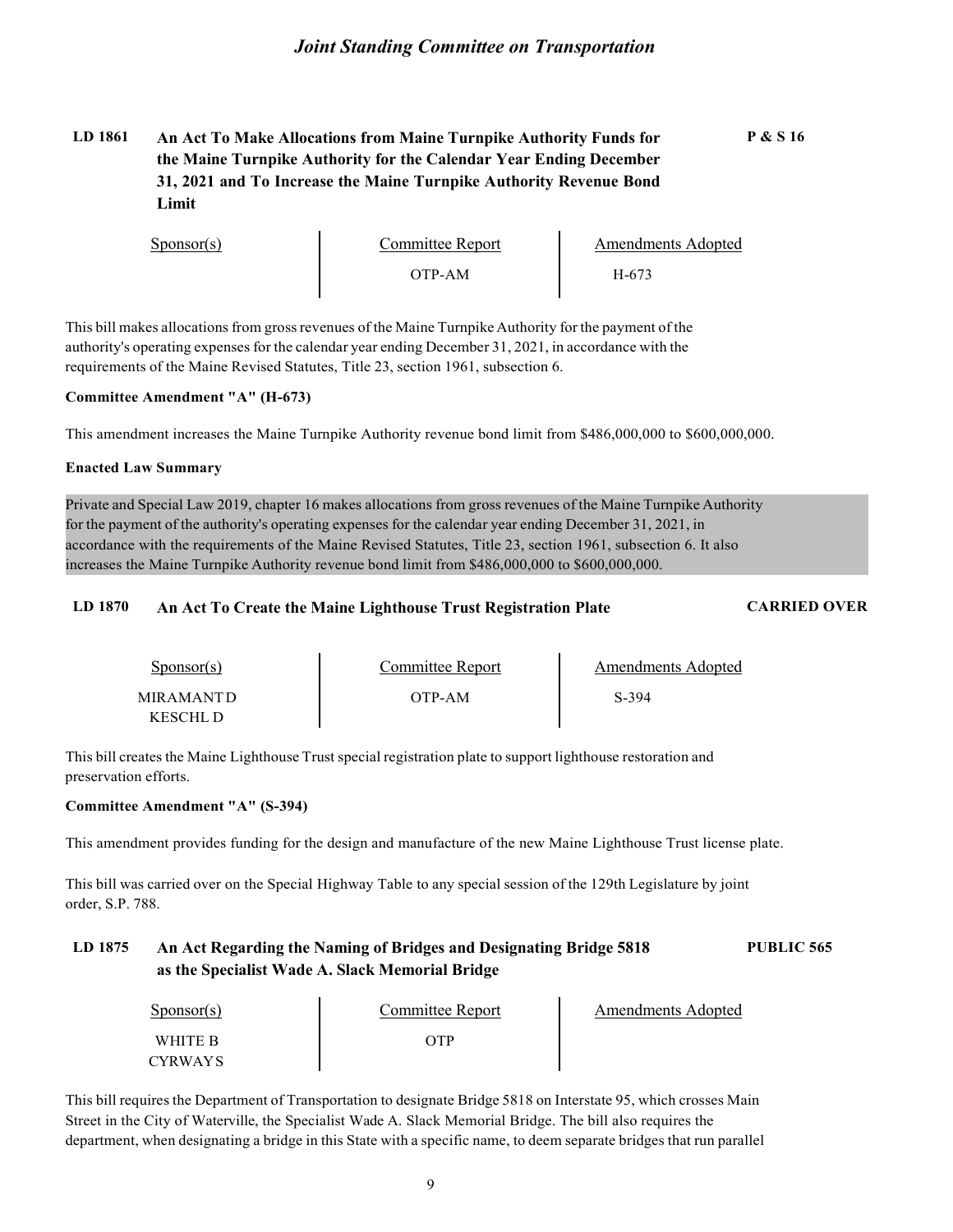#### **LD 1861 An Act To Make Allocations from Maine Turnpike Authority Funds for the Maine Turnpike Authority for the Calendar Year Ending December 31, 2021 and To Increase the Maine Turnpike Authority Revenue Bond Limit**

| $S_{\text{PON}(\text{s})}$ | Committee Report | <b>Amendments Adopted</b> |
|----------------------------|------------------|---------------------------|
|                            | OTP-AM           | H-673                     |

This bill makes allocations from grossrevenues of the Maine Turnpike Authority for the payment of the authority's operating expenses for the calendar year ending December 31, 2021, in accordance with the requirements of the Maine Revised Statutes, Title 23, section 1961, subsection 6.

#### **Committee Amendment "A" (H-673)**

This amendment increases the Maine Turnpike Authority revenue bond limit from \$486,000,000 to \$600,000,000.

#### **Enacted Law Summary**

Private and Special Law 2019, chapter 16 makes allocations from gross revenues of the Maine Turnpike Authority for the payment of the authority's operating expenses for the calendar year ending December 31, 2021, in accordance with the requirements of the Maine Revised Statutes, Title 23, section 1961, subsection 6. It also increases the Maine Turnpike Authority revenue bond limit from \$486,000,000 to \$600,000,000.

#### **LD 1870 An Act To Create the Maine Lighthouse Trust Registration Plate CARRIED OVER**

Sponsor(s) MIRAMANTD KESCHL D Committee Report OTP-AM Amendments Adopted S-394

This bill creates the Maine Lighthouse Trust special registration plate to support lighthouse restoration and preservation efforts.

#### **Committee Amendment "A" (S-394)**

This amendment provides funding for the design and manufacture of the new Maine Lighthouse Trust license plate.

This bill was carried over on the Special Highway Table to any special session of the 129th Legislature by joint order, S.P. 788.

#### **LD 1875 An Act Regarding the Naming of Bridges and Designating Bridge 5818 as the Specialist Wade A. Slack Memorial Bridge PUBLIC 565**

| $S_{\text{ponsor}}(s)$ | Committee Report | Amendments Adopted |
|------------------------|------------------|--------------------|
| WHITE R                |                  |                    |
| <b>CYRWAYS</b>         |                  |                    |

This bill requires the Department of Transportation to designate Bridge 5818 on Interstate 95, which crosses Main Street in the City of Waterville, the Specialist Wade A. Slack Memorial Bridge. The bill also requires the department, when designating a bridge in this State with a specific name, to deem separate bridges that run parallel

**P & S 16**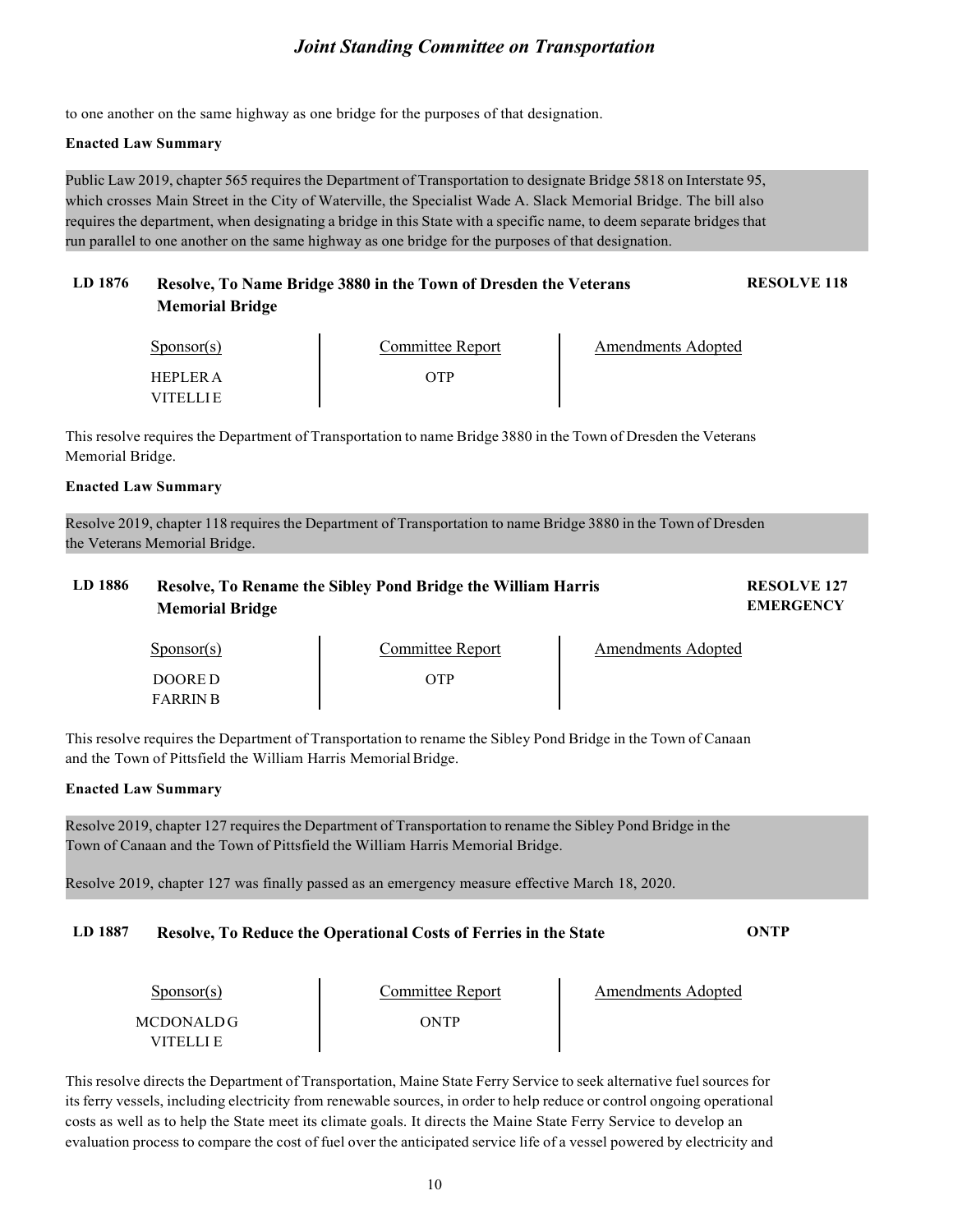to one another on the same highway as one bridge for the purposes of that designation.

#### **Enacted Law Summary**

Public Law 2019, chapter 565 requires the Department of Transportation to designate Bridge 5818 on Interstate 95, which crosses Main Street in the City of Waterville, the Specialist Wade A. Slack Memorial Bridge. The bill also requires the department, when designating a bridge in this State with a specific name, to deem separate bridges that run parallel to one another on the same highway as one bridge for the purposes of that designation.

#### **LD 1876 Resolve, To Name Bridge 3880 in the Town of Dresden the Veterans Memorial Bridge RESOLVE 118**

| $S_{\text{ponsor}}(s)$       | Committee Report | Amendments Adopted |
|------------------------------|------------------|--------------------|
| HEPLER A<br><b>VITEL LIE</b> | λТΡ              |                    |

This resolve requires the Department of Transportation to name Bridge 3880 in the Town of Dresden the Veterans Memorial Bridge.

#### **Enacted Law Summary**

Resolve 2019, chapter 118 requires the Department of Transportation to name Bridge 3880 in the Town of Dresden the Veterans Memorial Bridge.

#### **LD 1886 Resolve, To Rename the Sibley Pond Bridge the William Harris Memorial Bridge**

**RESOLVE 127 EMERGENCY**

Sponsor(s) DOORE D FARRIN B

Committee Report OTP

Amendments Adopted

This resolve requires the Department of Transportation to rename the Sibley Pond Bridge in the Town of Canaan and the Town of Pittsfield the William Harris MemorialBridge.

#### **Enacted Law Summary**

Resolve 2019, chapter 127 requires the Department of Transportation to rename the Sibley Pond Bridge in the Town of Canaan and the Town of Pittsfield the William Harris Memorial Bridge.

Resolve 2019, chapter 127 was finally passed as an emergency measure effective March 18, 2020.

#### **LD 1887 Resolve, To Reduce the Operational Costs of Ferries in the State ONTP**

| $S_{\text{ponsor}}(s)$      | Committee Report | Amendments Adopted |
|-----------------------------|------------------|--------------------|
| MCDONALDG<br><b>VITELLE</b> | ONTP             |                    |

This resolve directs the Department of Transportation, Maine State Ferry Service to seek alternative fuel sources for its ferry vessels, including electricity from renewable sources, in order to help reduce or control ongoing operational costs as well as to help the State meet its climate goals. It directs the Maine State Ferry Service to develop an evaluation process to compare the cost of fuel over the anticipated service life of a vessel powered by electricity and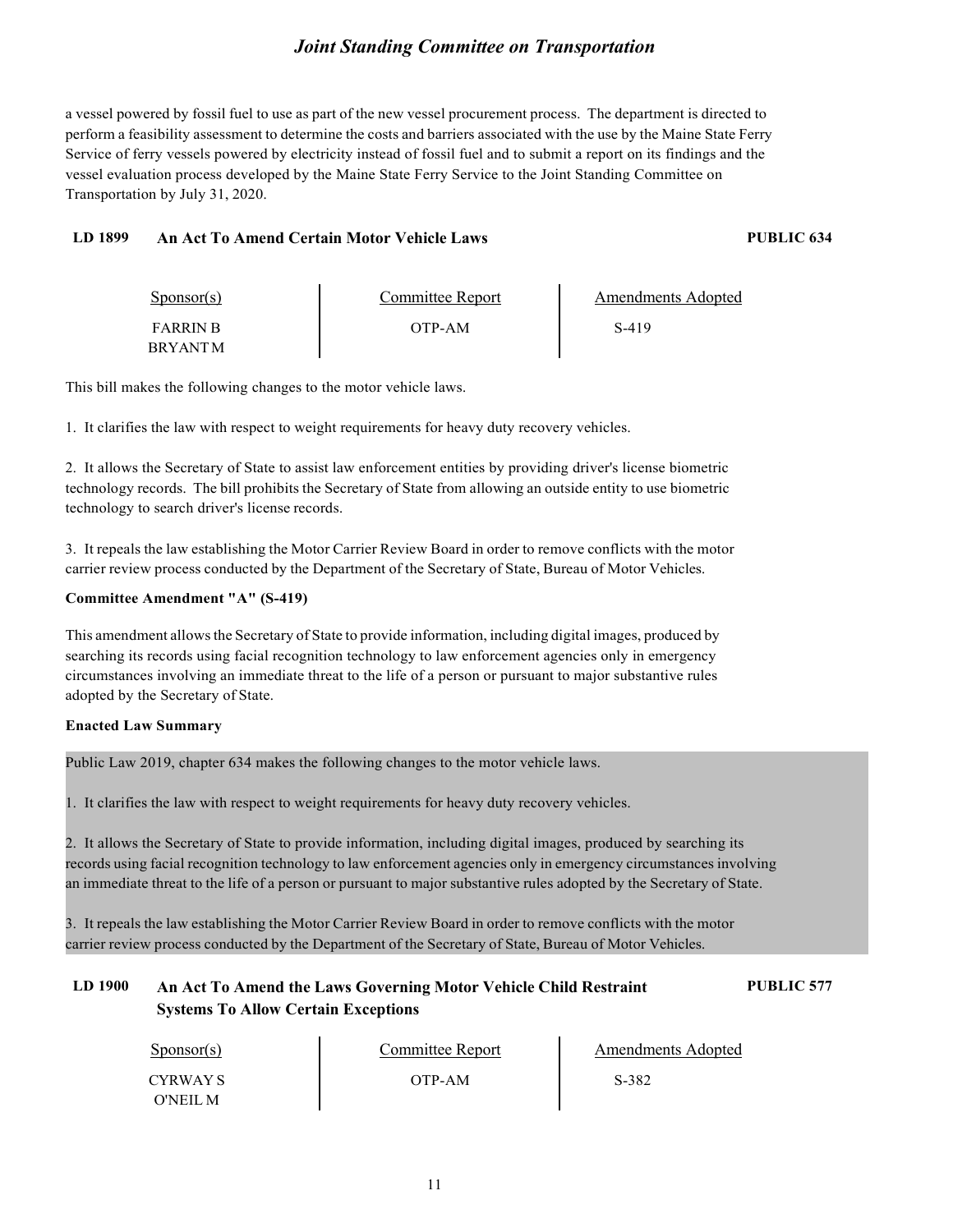a vessel powered by fossil fuel to use as part of the new vessel procurement process. The department is directed to perform a feasibility assessment to determine the costs and barriers associated with the use by the Maine State Ferry Service of ferry vessels powered by electricity instead of fossil fuel and to submit a report on its findings and the vessel evaluation process developed by the Maine State Ferry Service to the Joint Standing Committee on Transportation by July 31, 2020.

#### **LD 1899 An Act To Amend Certain Motor Vehicle Laws PUBLIC 634**

| $S_{\text{ponsor}}(s)$ | Committee Report | Amendments Adopted |
|------------------------|------------------|--------------------|
| <b>FARRIN R</b>        | OTP-AM           | S-419              |
| <b>BRYANTM</b>         |                  |                    |

This bill makes the following changes to the motor vehicle laws.

1. It clarifies the law with respect to weight requirements for heavy duty recovery vehicles.

2. It allows the Secretary of State to assist law enforcement entities by providing driver's license biometric technology records. The bill prohibits the Secretary of State from allowing an outside entity to use biometric technology to search driver's license records.

3. It repeals the law establishing the Motor Carrier Review Board in order to remove conflicts with the motor carrier review process conducted by the Department of the Secretary of State, Bureau of Motor Vehicles.

#### **Committee Amendment "A" (S-419)**

This amendment allowsthe Secretary of State to provide information, including digital images, produced by searching its records using facial recognition technology to law enforcement agencies only in emergency circumstances involving an immediate threat to the life of a person or pursuant to major substantive rules adopted by the Secretary of State.

#### **Enacted Law Summary**

Public Law 2019, chapter 634 makes the following changes to the motor vehicle laws.

1. It clarifies the law with respect to weight requirements for heavy duty recovery vehicles.

2. It allows the Secretary of State to provide information, including digital images, produced by searching its records using facial recognition technology to law enforcement agencies only in emergency circumstances involving an immediate threat to the life of a person or pursuant to major substantive rules adopted by the Secretary of State.

3. It repeals the law establishing the Motor Carrier Review Board in order to remove conflicts with the motor carrier review process conducted by the Department of the Secretary of State, Bureau of Motor Vehicles.

#### **LD 1900 An Act To Amend the Laws Governing Motor Vehicle Child Restraint Systems To Allow Certain Exceptions**

**PUBLIC 577**

| $S_{\text{ponsor}}(s)$ | Committee Report | <b>Amendments Adopted</b> |
|------------------------|------------------|---------------------------|
| CYRWAY S               | OTP-AM           | S-382                     |
| O'NEIL M               |                  |                           |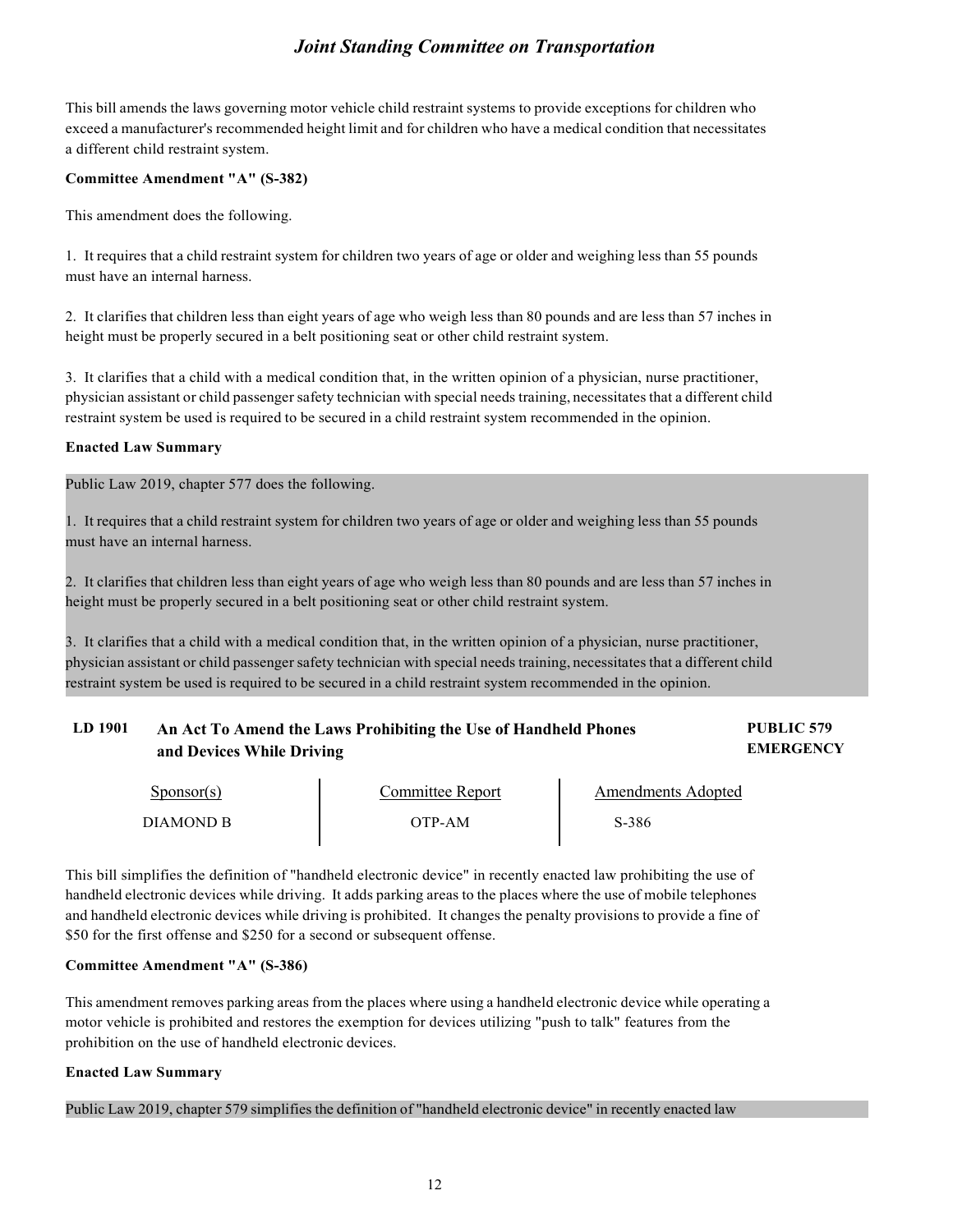This bill amends the laws governing motor vehicle child restraint systems to provide exceptions for children who exceed a manufacturer's recommended height limit and for children who have a medical condition that necessitates a different child restraint system.

#### **Committee Amendment "A" (S-382)**

This amendment does the following.

1. It requires that a child restraint system for children two years of age or older and weighing less than 55 pounds must have an internal harness.

2. It clarifies that children less than eight years of age who weigh less than 80 pounds and are less than 57 inches in height must be properly secured in a belt positioning seat or other child restraint system.

3. It clarifies that a child with a medical condition that, in the written opinion of a physician, nurse practitioner, physician assistant or child passenger safety technician with special needs training, necessitates that a different child restraint system be used is required to be secured in a child restraint system recommended in the opinion.

#### **Enacted Law Summary**

Public Law 2019, chapter 577 does the following.

1. It requires that a child restraint system for children two years of age or older and weighing less than 55 pounds must have an internal harness.

2. It clarifies that children less than eight years of age who weigh less than 80 pounds and are less than 57 inches in height must be properly secured in a belt positioning seat or other child restraint system.

3. It clarifies that a child with a medical condition that, in the written opinion of a physician, nurse practitioner, physician assistant or child passenger safety technician with special needs training, necessitates that a different child restraint system be used is required to be secured in a child restraint system recommended in the opinion.

#### **LD 1901 An Act To Amend the Laws Prohibiting the Use of Handheld Phones and Devices While Driving PUBLIC 579 EMERGENCY**

| Sponsor(s) | Committee Report | Amendments Adopted |
|------------|------------------|--------------------|
| DIAMOND B  | OTP-AM           | S-386              |

This bill simplifies the definition of "handheld electronic device" in recently enacted law prohibiting the use of handheld electronic devices while driving. It adds parking areas to the places where the use of mobile telephones and handheld electronic devices while driving is prohibited. It changes the penalty provisions to provide a fine of \$50 for the first offense and \$250 for a second or subsequent offense.

#### **Committee Amendment "A" (S-386)**

This amendment removes parking areas from the places where using a handheld electronic device while operating a motor vehicle is prohibited and restores the exemption for devices utilizing "push to talk" features from the prohibition on the use of handheld electronic devices.

#### **Enacted Law Summary**

Public Law 2019, chapter 579 simplifies the definition of "handheld electronic device" in recently enacted law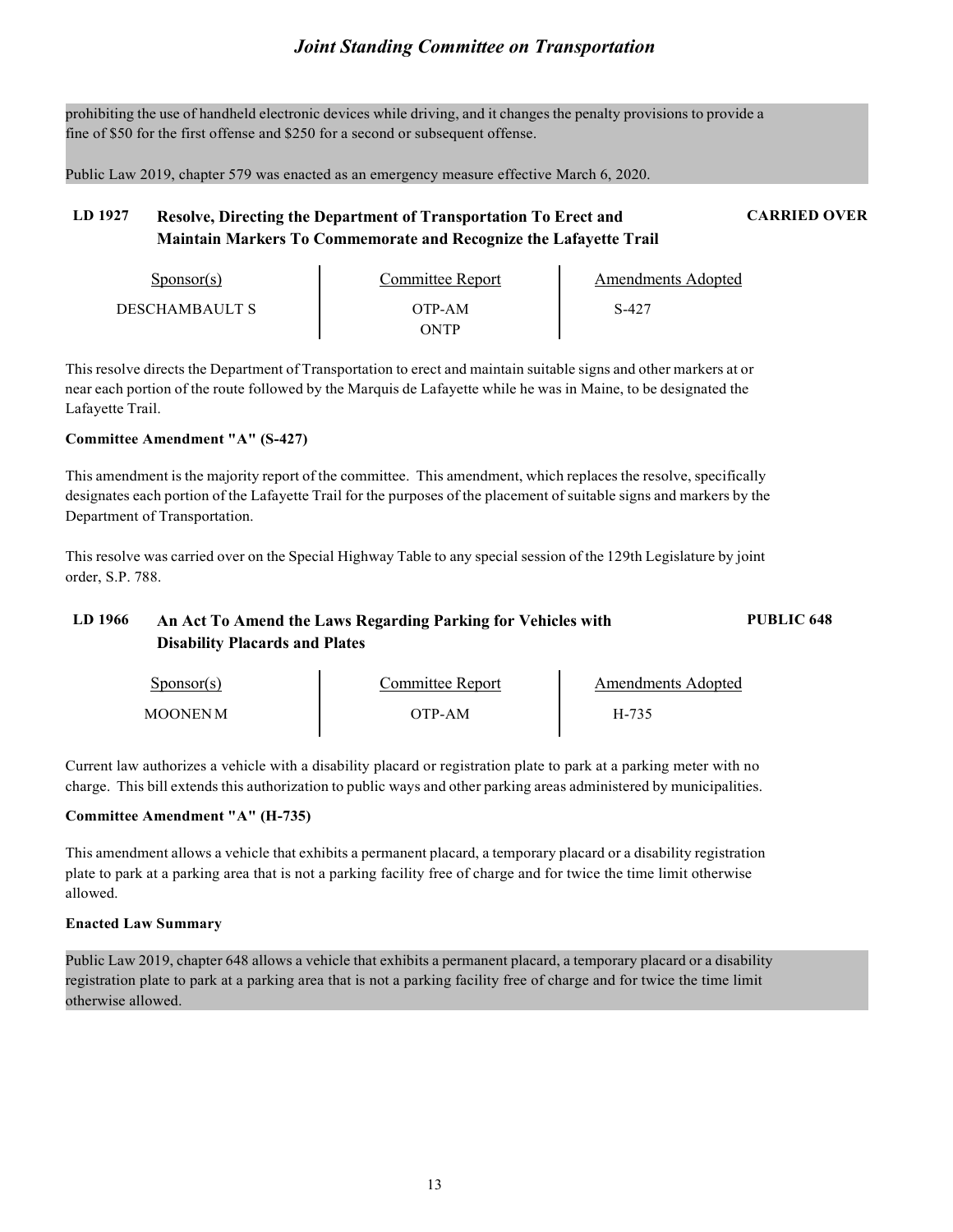prohibiting the use of handheld electronic devices while driving, and it changes the penalty provisions to provide a fine of \$50 for the first offense and \$250 for a second or subsequent offense.

Public Law 2019, chapter 579 was enacted as an emergency measure effective March 6, 2020.

#### **LD 1927 Resolve, Directing the Department of Transportation To Erect and Maintain Markers To Commemorate and Recognize the Lafayette Trail CARRIED OVER**

| Sponsor(s)     | Committee Report | Amendments Adopted |
|----------------|------------------|--------------------|
| DESCHAMBAULT S | OTP-AM           | $S-42$             |
|                | <b>NTP</b>       |                    |

This resolve directs the Department of Transportation to erect and maintain suitable signs and other markers at or near each portion of the route followed by the Marquis de Lafayette while he was in Maine, to be designated the Lafayette Trail.

#### **Committee Amendment "A" (S-427)**

This amendment is the majority report of the committee. This amendment, which replaces the resolve, specifically designates each portion of the Lafayette Trail for the purposes of the placement of suitable signs and markers by the Department of Transportation.

This resolve was carried over on the Special Highway Table to any special session of the 129th Legislature by joint order, S.P. 788.

#### **LD 1966 An Act To Amend the Laws Regarding Parking for Vehicles with Disability Placards and Plates PUBLIC 648**

| $S_{\text{ponsor}}(s)$ | Committee Report | <b>Amendments Adopted</b> |
|------------------------|------------------|---------------------------|
| <b>MOONEN M</b>        | OTP-AM           | H-735                     |

Current law authorizes a vehicle with a disability placard or registration plate to park at a parking meter with no charge. This bill extends this authorization to public ways and other parking areas administered by municipalities.

#### **Committee Amendment "A" (H-735)**

This amendment allows a vehicle that exhibits a permanent placard, a temporary placard or a disability registration plate to park at a parking area that is not a parking facility free of charge and for twice the time limit otherwise allowed.

#### **Enacted Law Summary**

Public Law 2019, chapter 648 allows a vehicle that exhibits a permanent placard, a temporary placard or a disability registration plate to park at a parking area that is not a parking facility free of charge and for twice the time limit otherwise allowed.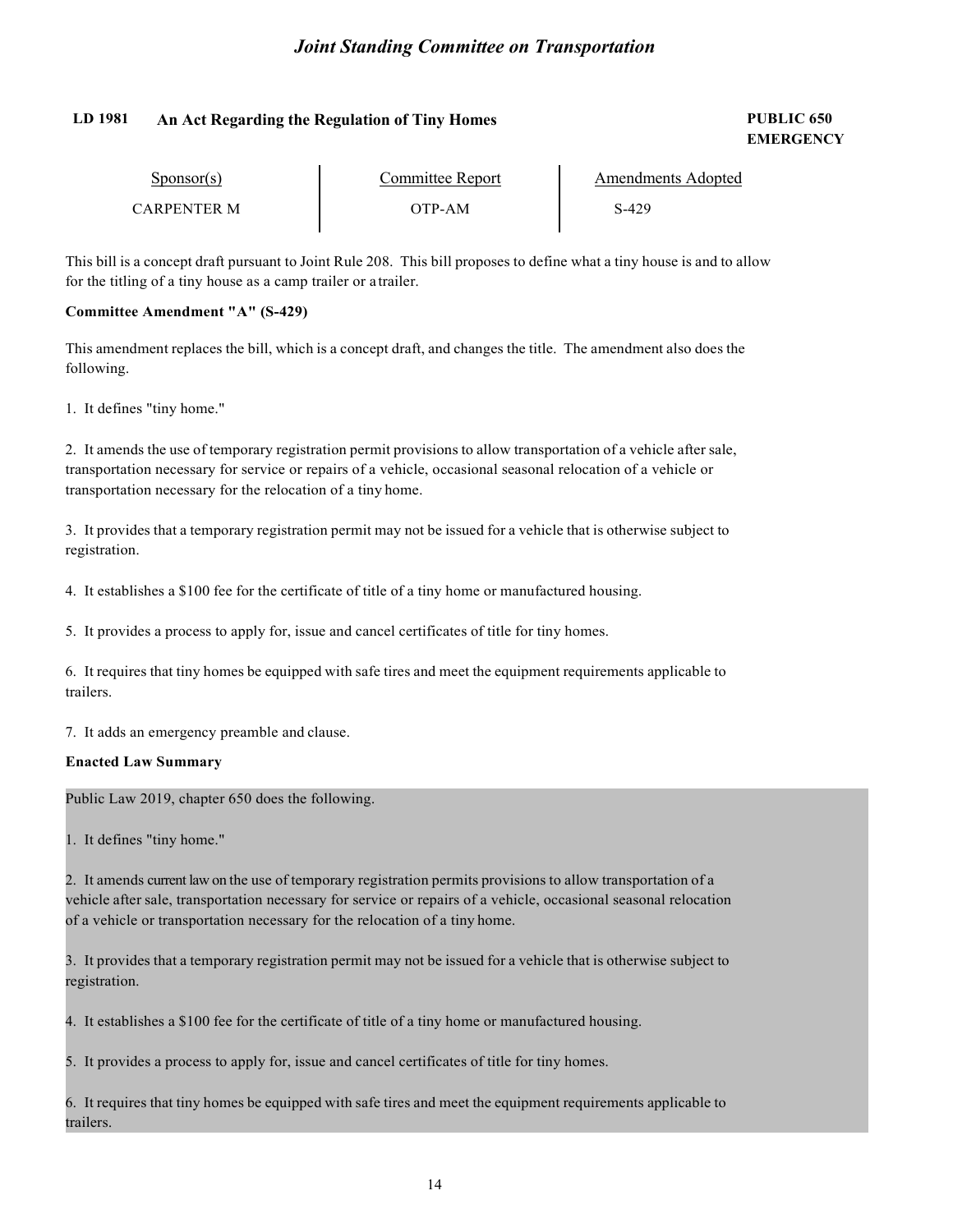#### **LD 1981 An Act Regarding the Regulation of Tiny Homes PUBLIC 650**

# **EMERGENCY**

| Sponsor(s)  | Committee Report | Amendments Adopted |
|-------------|------------------|--------------------|
| CARPENTER M | OTP-AM           | S-429              |

This bill is a concept draft pursuant to Joint Rule 208. This bill proposes to define what a tiny house is and to allow for the titling of a tiny house as a camp trailer or a trailer.

#### **Committee Amendment "A" (S-429)**

This amendment replaces the bill, which is a concept draft, and changes the title. The amendment also does the following.

1. It defines "tiny home."

2. It amends the use of temporary registration permit provisions to allow transportation of a vehicle after sale, transportation necessary for service or repairs of a vehicle, occasional seasonal relocation of a vehicle or transportation necessary for the relocation of a tiny home.

3. It provides that a temporary registration permit may not be issued for a vehicle that is otherwise subject to registration.

4. It establishes a \$100 fee for the certificate of title of a tiny home or manufactured housing.

5. It provides a process to apply for, issue and cancel certificates of title for tiny homes.

6. It requires that tiny homes be equipped with safe tires and meet the equipment requirements applicable to trailers.

7. It adds an emergency preamble and clause.

#### **Enacted Law Summary**

Public Law 2019, chapter 650 does the following.

1. It defines "tiny home."

2. It amends current law on the use of temporary registration permits provisions to allow transportation of a vehicle after sale, transportation necessary for service or repairs of a vehicle, occasional seasonal relocation of a vehicle or transportation necessary for the relocation of a tiny home.

3. It provides that a temporary registration permit may not be issued for a vehicle that is otherwise subject to registration.

4. It establishes a \$100 fee for the certificate of title of a tiny home or manufactured housing.

5. It provides a process to apply for, issue and cancel certificates of title for tiny homes.

6. It requires that tiny homes be equipped with safe tires and meet the equipment requirements applicable to trailers.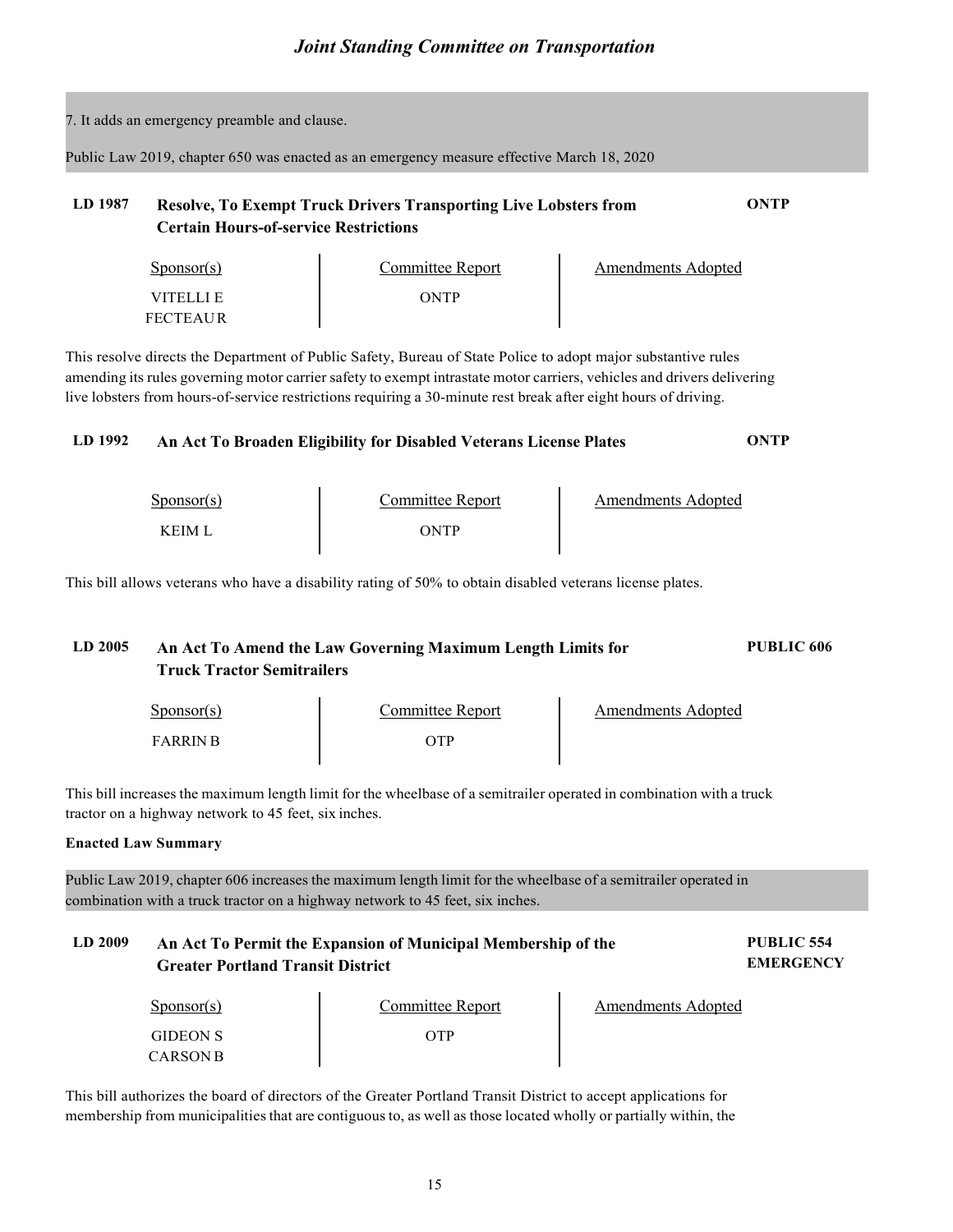|                                                                                                                                                                                                 | 7. It adds an emergency preamble and clause. |                                                                                                                                                                                                                                                                                                                                                            |                           |                                       |
|-------------------------------------------------------------------------------------------------------------------------------------------------------------------------------------------------|----------------------------------------------|------------------------------------------------------------------------------------------------------------------------------------------------------------------------------------------------------------------------------------------------------------------------------------------------------------------------------------------------------------|---------------------------|---------------------------------------|
|                                                                                                                                                                                                 |                                              | Public Law 2019, chapter 650 was enacted as an emergency measure effective March 18, 2020                                                                                                                                                                                                                                                                  |                           |                                       |
| LD 1987                                                                                                                                                                                         | <b>Certain Hours-of-service Restrictions</b> | <b>Resolve, To Exempt Truck Drivers Transporting Live Lobsters from</b>                                                                                                                                                                                                                                                                                    |                           | ONTP                                  |
|                                                                                                                                                                                                 | $S_{\text{ponsor}(s)}$                       |                                                                                                                                                                                                                                                                                                                                                            | <b>Amendments Adopted</b> |                                       |
|                                                                                                                                                                                                 | VITELLI E<br><b>FECTEAUR</b>                 | Committee Report<br>ONTP                                                                                                                                                                                                                                                                                                                                   |                           |                                       |
|                                                                                                                                                                                                 |                                              | This resolve directs the Department of Public Safety, Bureau of State Police to adopt major substantive rules<br>amending its rules governing motor carrier safety to exempt intrastate motor carriers, vehicles and drivers delivering<br>live lobsters from hours-of-service restrictions requiring a 30-minute rest break after eight hours of driving. |                           |                                       |
| LD 1992                                                                                                                                                                                         |                                              | An Act To Broaden Eligibility for Disabled Veterans License Plates                                                                                                                                                                                                                                                                                         |                           | <b>ONTP</b>                           |
|                                                                                                                                                                                                 | $S_{\text{PON}(\text{s})}$                   |                                                                                                                                                                                                                                                                                                                                                            | <b>Amendments Adopted</b> |                                       |
|                                                                                                                                                                                                 | <b>KEIM L</b>                                | Committee Report<br>ONTP                                                                                                                                                                                                                                                                                                                                   |                           |                                       |
|                                                                                                                                                                                                 |                                              | This bill allows veterans who have a disability rating of 50% to obtain disabled veterans license plates.                                                                                                                                                                                                                                                  |                           |                                       |
| LD 2005                                                                                                                                                                                         | <b>Truck Tractor Semitrailers</b>            | An Act To Amend the Law Governing Maximum Length Limits for                                                                                                                                                                                                                                                                                                |                           | <b>PUBLIC 606</b>                     |
|                                                                                                                                                                                                 | $S_{\text{PON}(\text{s})}$                   |                                                                                                                                                                                                                                                                                                                                                            | <b>Amendments Adopted</b> |                                       |
|                                                                                                                                                                                                 | <b>FARRIN B</b>                              | Committee Report<br>OTP                                                                                                                                                                                                                                                                                                                                    |                           |                                       |
| This bill increases the maximum length limit for the wheelbase of a semitrailer operated in combination with a truck<br>tractor on a highway network to 45 feet, six inches.                    |                                              |                                                                                                                                                                                                                                                                                                                                                            |                           |                                       |
|                                                                                                                                                                                                 | <b>Enacted Law Summary</b>                   |                                                                                                                                                                                                                                                                                                                                                            |                           |                                       |
| Public Law 2019, chapter 606 increases the maximum length limit for the wheelbase of a semitrailer operated in<br>combination with a truck tractor on a highway network to 45 feet, six inches. |                                              |                                                                                                                                                                                                                                                                                                                                                            |                           |                                       |
| LD 2009                                                                                                                                                                                         | <b>Greater Portland Transit District</b>     | An Act To Permit the Expansion of Municipal Membership of the                                                                                                                                                                                                                                                                                              |                           | <b>PUBLIC 554</b><br><b>EMERGENCY</b> |
|                                                                                                                                                                                                 | $S_{\text{PON}(\text{s})}$                   | Committee Report                                                                                                                                                                                                                                                                                                                                           | <b>Amendments Adopted</b> |                                       |
|                                                                                                                                                                                                 | <b>GIDEON S</b>                              | OTP                                                                                                                                                                                                                                                                                                                                                        |                           |                                       |

This bill authorizes the board of directors of the Greater Portland Transit District to accept applications for membership from municipalities that are contiguous to, as well as those located wholly or partially within, the

CARSON B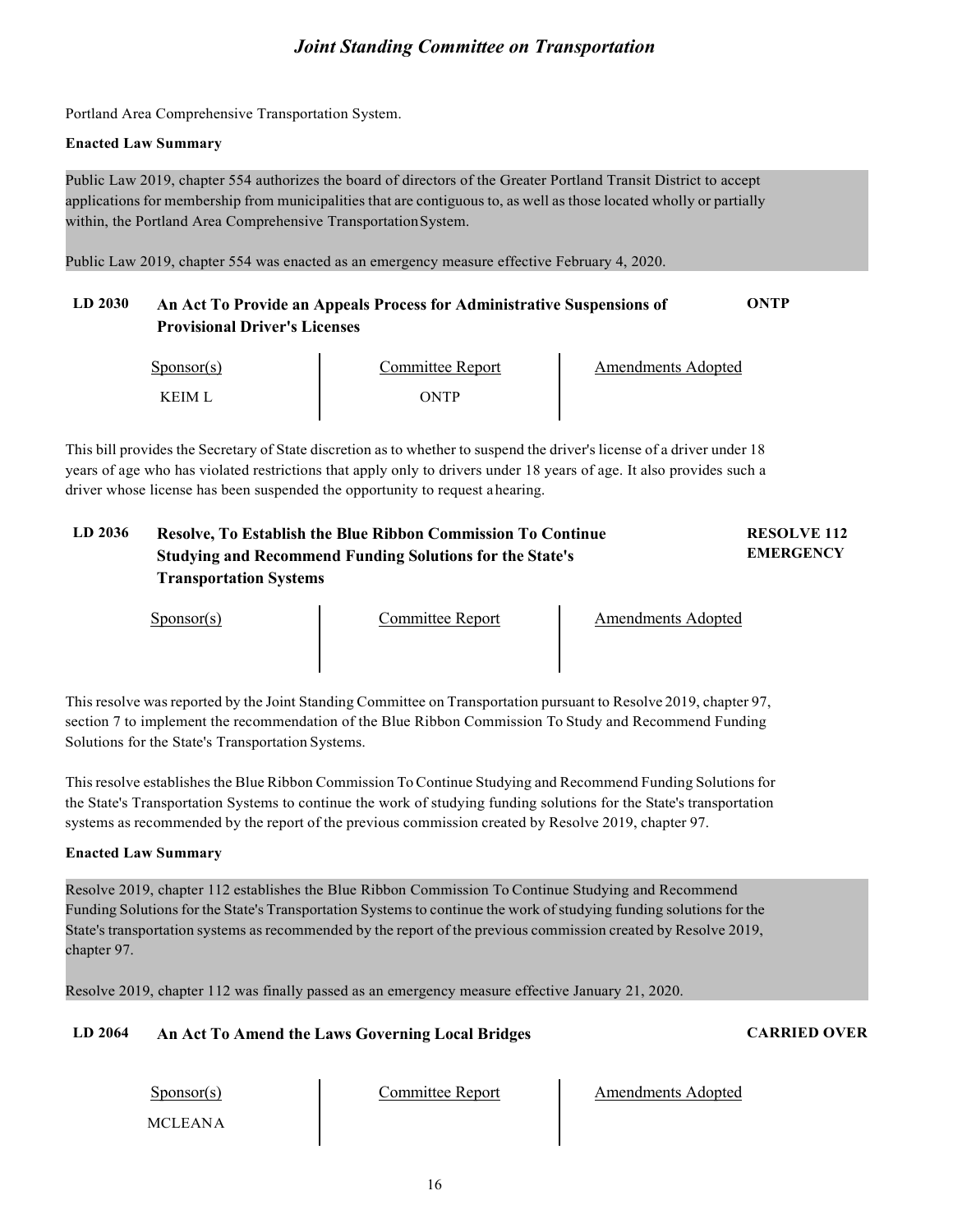Portland Area Comprehensive Transportation System.

#### **Enacted Law Summary**

Public Law 2019, chapter 554 authorizes the board of directors of the Greater Portland Transit District to accept applications for membership from municipalities that are contiguous to, as well as those located wholly or partially within, the Portland Area Comprehensive TransportationSystem.

Public Law 2019, chapter 554 was enacted as an emergency measure effective February 4, 2020.

#### **LD 2030 An Act To Provide an Appeals Process for Administrative Suspensions of Provisional Driver's Licenses ONTP**

| $S_{\text{ponsor}}(s)$ | Committee Report | Amendments Adopted |
|------------------------|------------------|--------------------|
| K FIM I                | ONTP             |                    |

This bill provides the Secretary of State discretion as to whether to suspend the driver's license of a driver under 18 years of age who has violated restrictions that apply only to drivers under 18 years of age. It also provides such a driver whose license has been suspended the opportunity to request ahearing.

#### **LD 2036 Resolve, To Establish the Blue Ribbon Commission To Continue Studying and Recommend Funding Solutions for the State's Transportation Systems RESOLVE 112 EMERGENCY**

Sponsor(s) Committee Report Amendments Adopted

This resolve was reported by the Joint Standing Committee on Transportation pursuant to Resolve 2019, chapter 97, section 7 to implement the recommendation of the Blue Ribbon Commission To Study and Recommend Funding Solutions for the State's Transportation Systems.

Thisresolve establishes the Blue Ribbon Commission ToContinue Studying and Recommend Funding Solutions for the State's Transportation Systems to continue the work of studying funding solutions for the State's transportation systems as recommended by the report of the previous commission created by Resolve 2019, chapter 97.

#### **Enacted Law Summary**

Resolve 2019, chapter 112 establishes the Blue Ribbon Commission To Continue Studying and Recommend Funding Solutions for the State's Transportation Systems to continue the work of studying funding solutions for the State's transportation systems as recommended by the report of the previous commission created by Resolve 2019, chapter 97.

Resolve 2019, chapter 112 was finally passed as an emergency measure effective January 21, 2020.

#### **LD 2064 An Act To Amend the Laws Governing Local Bridges CARRIED OVER**

Sponsor(s)

MCLEANA

Committee Report | Amendments Adopted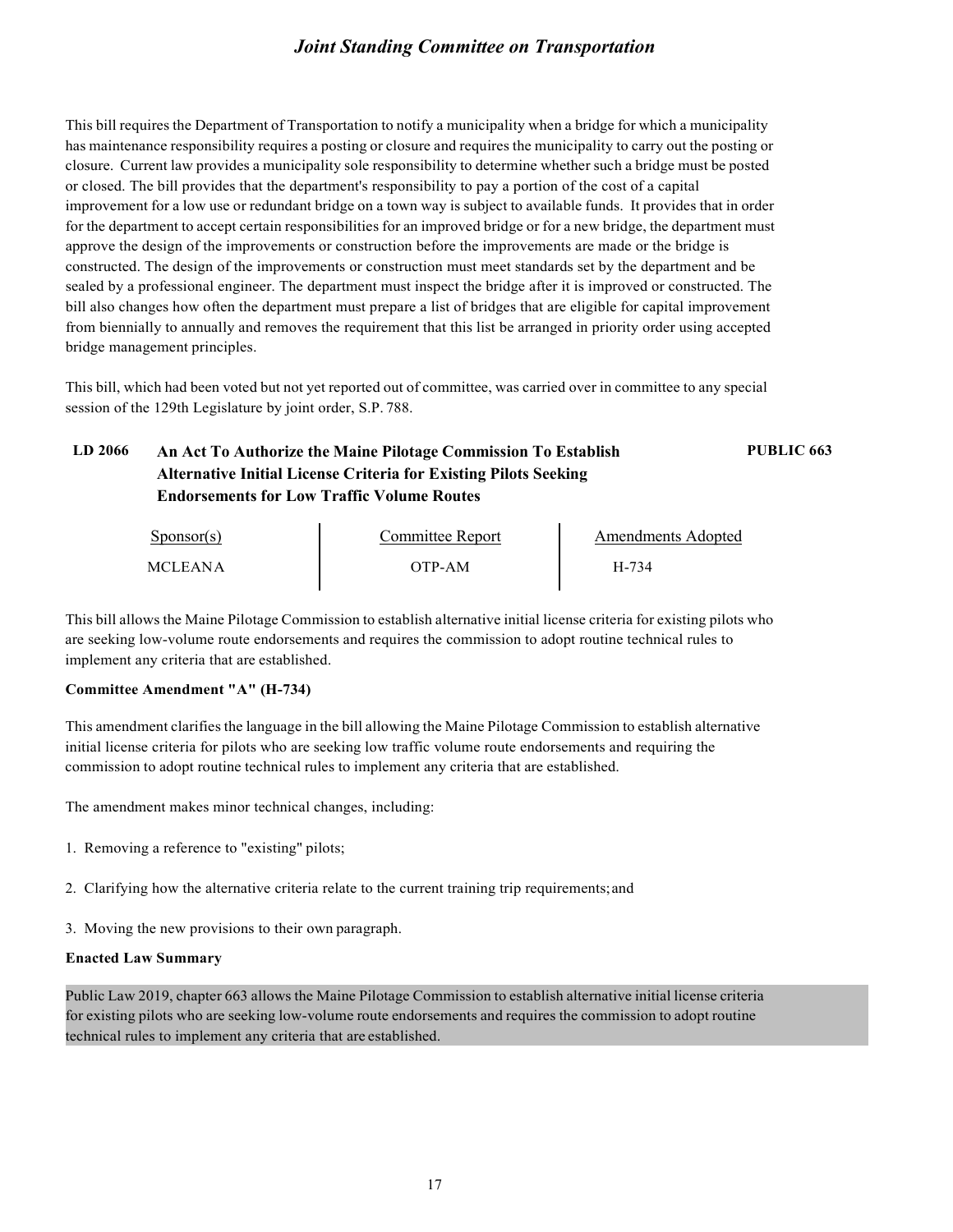This bill requires the Department of Transportation to notify a municipality when a bridge for which a municipality has maintenance responsibility requires a posting or closure and requires the municipality to carry out the posting or closure. Current law provides a municipality sole responsibility to determine whether such a bridge must be posted or closed. The bill provides that the department's responsibility to pay a portion of the cost of a capital improvement for a low use or redundant bridge on a town way is subject to available funds. It provides that in order for the department to accept certain responsibilities for an improved bridge or for a new bridge, the department must approve the design of the improvements or construction before the improvements are made or the bridge is constructed. The design of the improvements or construction must meet standards set by the department and be sealed by a professional engineer. The department must inspect the bridge after it is improved or constructed. The bill also changes how often the department must prepare a list of bridges that are eligible for capital improvement from biennially to annually and removes the requirement that this list be arranged in priority order using accepted bridge management principles.

This bill, which had been voted but not yet reported out of committee, was carried over in committee to any special session of the 129th Legislature by joint order, S.P. 788.

#### **LD 2066 An Act To Authorize the Maine Pilotage Commission To Establish Alternative Initial License Criteria for Existing Pilots Seeking Endorsements for Low Traffic Volume Routes PUBLIC 663**

| $S_{\text{PON}(\text{s})}$ | Committee Report | Amendments Adopted |
|----------------------------|------------------|--------------------|
| <b>MCLEANA</b>             | OTP-AM           | H-734              |

This bill allows the Maine Pilotage Commission to establish alternative initial license criteria for existing pilots who are seeking low-volume route endorsements and requires the commission to adopt routine technical rules to implement any criteria that are established.

#### **Committee Amendment "A" (H-734)**

This amendment clarifies the language in the bill allowing the Maine Pilotage Commission to establish alternative initial license criteria for pilots who are seeking low traffic volume route endorsements and requiring the commission to adopt routine technical rules to implement any criteria that are established.

The amendment makes minor technical changes, including:

- 1. Removing a reference to "existing" pilots;
- 2. Clarifying how the alternative criteria relate to the current training trip requirements;and
- 3. Moving the new provisions to their own paragraph.

#### **Enacted Law Summary**

Public Law 2019, chapter 663 allows the Maine Pilotage Commission to establish alternative initial license criteria for existing pilots who are seeking low-volume route endorsements and requires the commission to adopt routine technical rules to implement any criteria that are established.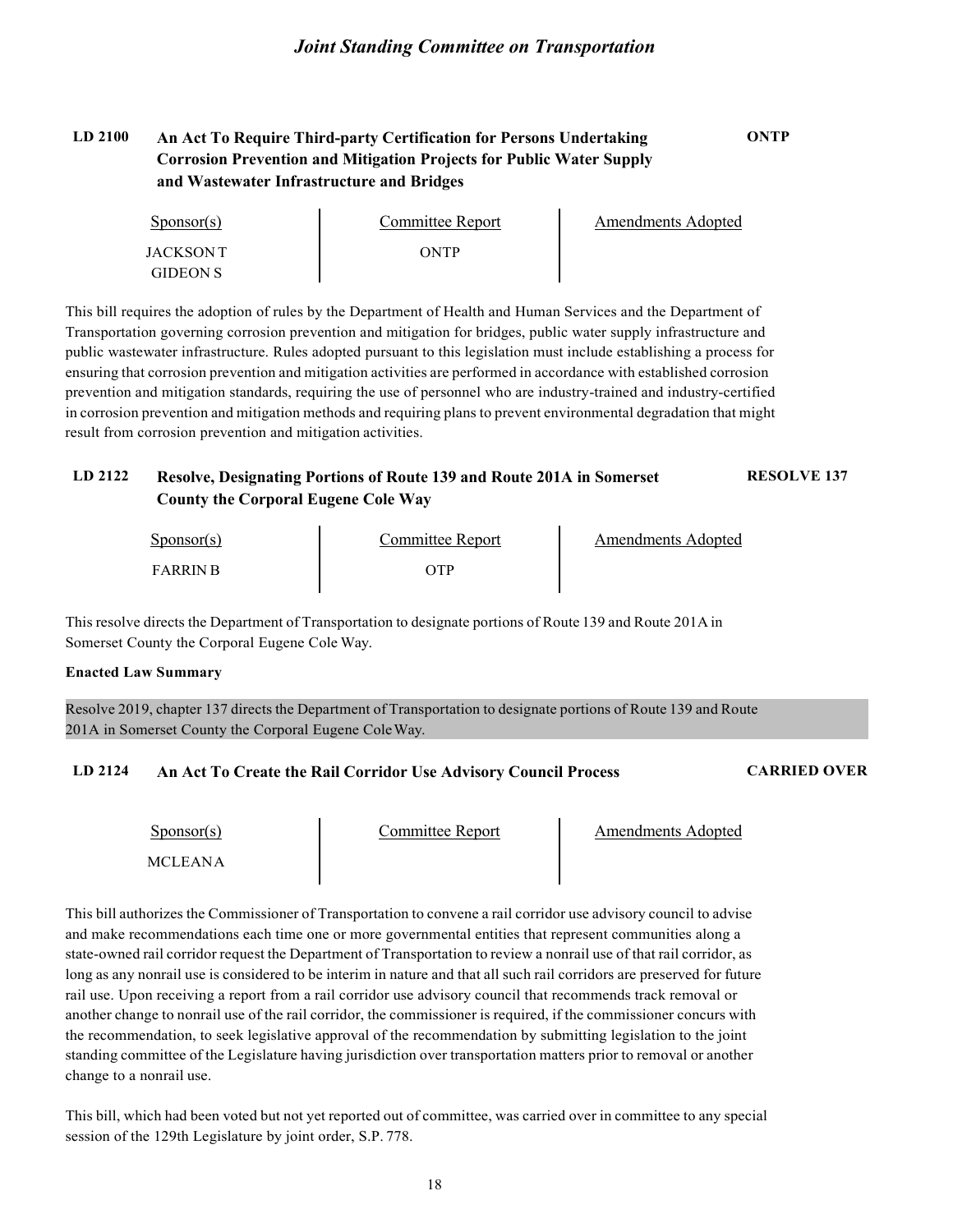#### **LD 2100 An Act To Require Third-party Certification for Persons Undertaking Corrosion Prevention and Mitigation Projects for Public Water Supply and Wastewater Infrastructure and Bridges ONTP**

| $S_{\text{ponsor}}(s)$ | Committee Report | Amendments Adopted |
|------------------------|------------------|--------------------|
| JACKSON T              | ONTP             |                    |
| <b>GIDEON S</b>        |                  |                    |

This bill requires the adoption of rules by the Department of Health and Human Services and the Department of Transportation governing corrosion prevention and mitigation for bridges, public water supply infrastructure and public wastewater infrastructure. Rules adopted pursuant to this legislation must include establishing a process for ensuring that corrosion prevention and mitigation activities are performed in accordance with established corrosion prevention and mitigation standards, requiring the use of personnel who are industry-trained and industry-certified in corrosion prevention and mitigation methods and requiring plans to prevent environmental degradation that might result from corrosion prevention and mitigation activities.

#### **LD 2122 Resolve, Designating Portions of Route 139 and Route 201A in Somerset County the Corporal Eugene Cole Way RESOLVE 137**

| $S_{\text{ponsor}}(s)$ | Committee Report | Amendments Adopted |
|------------------------|------------------|--------------------|
| <b>FARRIN R</b>        | отр              |                    |

This resolve directs the Department of Transportation to designate portions of Route 139 and Route 201A in Somerset County the Corporal Eugene Cole Way.

#### **Enacted Law Summary**

Resolve 2019, chapter 137 directs the Department of Transportation to designate portions of Route 139 and Route 201A in Somerset County the Corporal Eugene ColeWay.

#### **LD 2124 An Act To Create the Rail Corridor Use Advisory Council Process CARRIED OVER**

Sponsor(s)

Committee Report Amendments Adopted

MCLEANA

This bill authorizes the Commissioner of Transportation to convene a rail corridor use advisory council to advise and make recommendations each time one or more governmental entities that represent communities along a state-owned rail corridor request the Department of Transportation to review a nonrail use of that rail corridor, as long as any nonrail use is considered to be interim in nature and that all such rail corridors are preserved for future rail use. Upon receiving a report from a rail corridor use advisory council that recommends track removal or another change to nonrail use of the rail corridor, the commissioner is required, if the commissioner concurs with the recommendation, to seek legislative approval of the recommendation by submitting legislation to the joint standing committee of the Legislature having jurisdiction over transportation matters prior to removal or another change to a nonrail use.

This bill, which had been voted but not yet reported out of committee, was carried over in committee to any special session of the 129th Legislature by joint order, S.P. 778.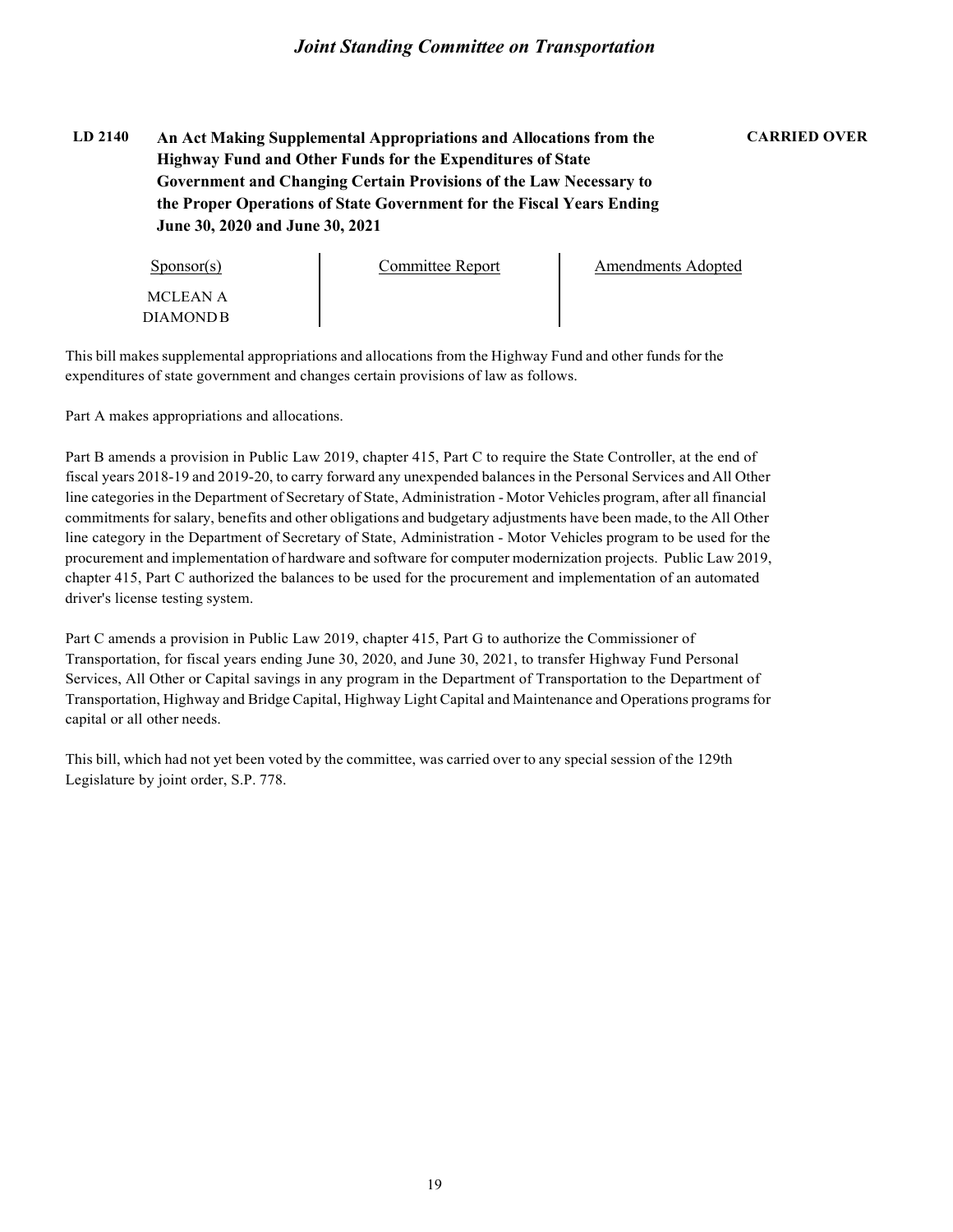#### **LD 2140 An Act Making Supplemental Appropriations and Allocations from the Highway Fund and Other Funds for the Expenditures of State Government and Changing Certain Provisions of the Law Necessary to the Proper Operations of State Government for the Fiscal Years Ending June 30, 2020 and June 30, 2021**

#### **CARRIED OVER**

| $S_{\text{PON}(\text{s})}$ | Committee Report | Amendments Adopted |
|----------------------------|------------------|--------------------|
| MCLEAN A                   |                  |                    |
| DIAMONDB-                  |                  |                    |

This bill makes supplemental appropriations and allocations from the Highway Fund and other funds for the expenditures of state government and changes certain provisions of law as follows.

Part A makes appropriations and allocations.

Part B amends a provision in Public Law 2019, chapter 415, Part C to require the State Controller, at the end of fiscal years 2018-19 and 2019-20, to carry forward any unexpended balances in the Personal Services and All Other line categories in the Department of Secretary of State, Administration - Motor Vehicles program, after all financial commitments forsalary, benefits and other obligations and budgetary adjustments have been made, to the All Other line category in the Department of Secretary of State, Administration - Motor Vehicles program to be used for the procurement and implementation of hardware and software for computer modernization projects. Public Law 2019, chapter 415, Part C authorized the balances to be used for the procurement and implementation of an automated driver's license testing system.

Part C amends a provision in Public Law 2019, chapter 415, Part G to authorize the Commissioner of Transportation, for fiscal years ending June 30, 2020, and June 30, 2021, to transfer Highway Fund Personal Services, All Other or Capital savings in any program in the Department of Transportation to the Department of Transportation, Highway and Bridge Capital, Highway Light Capital and Maintenance and Operations programsfor capital or all other needs.

This bill, which had not yet been voted by the committee, was carried over to any special session of the 129th Legislature by joint order, S.P. 778.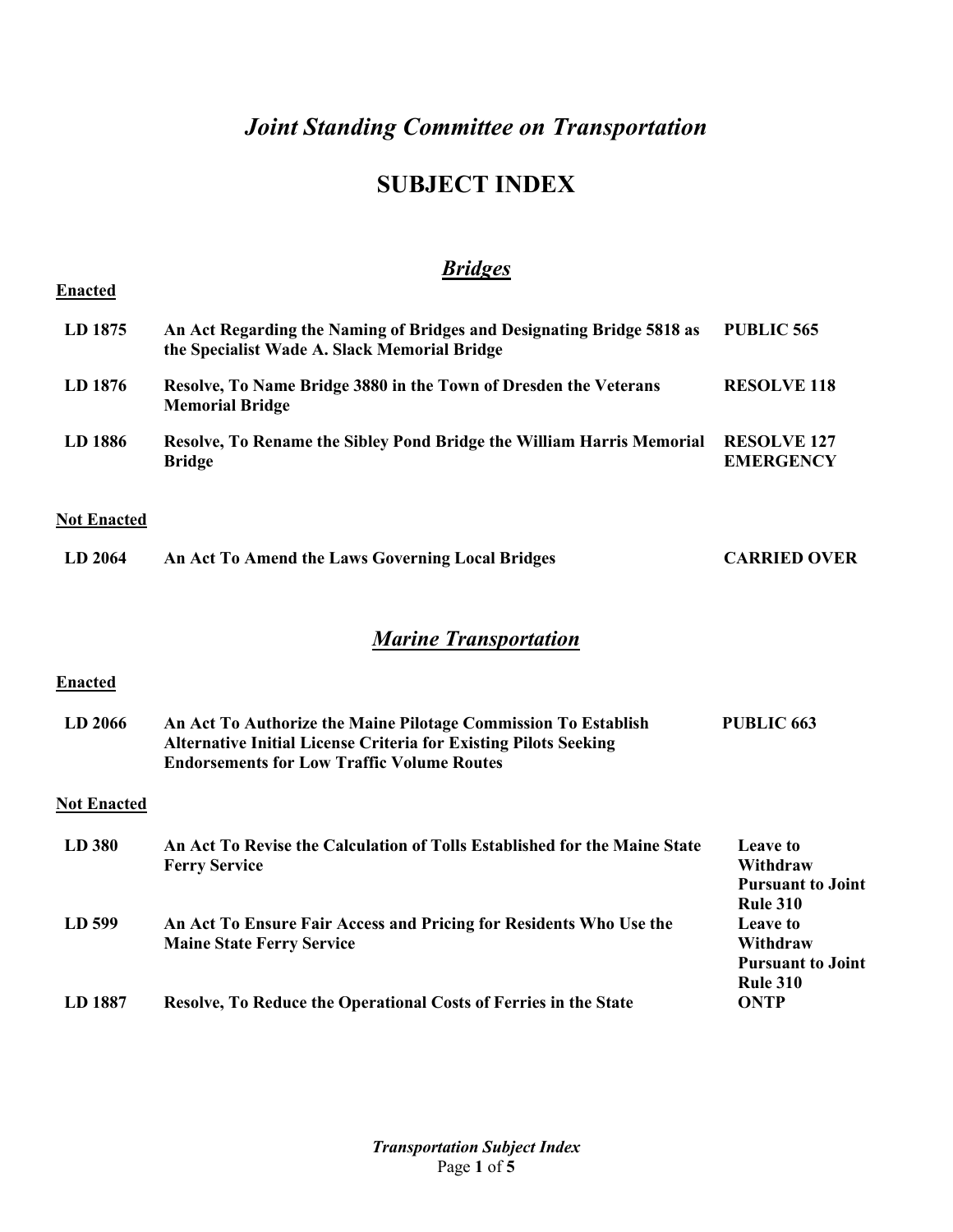# **SUBJECT INDEX**

|                    | <b>Bridges</b>                                                                                                                                                                                 |                                                                            |
|--------------------|------------------------------------------------------------------------------------------------------------------------------------------------------------------------------------------------|----------------------------------------------------------------------------|
| <b>Enacted</b>     |                                                                                                                                                                                                |                                                                            |
| LD 1875            | An Act Regarding the Naming of Bridges and Designating Bridge 5818 as<br>the Specialist Wade A. Slack Memorial Bridge                                                                          | <b>PUBLIC 565</b>                                                          |
| LD 1876            | Resolve, To Name Bridge 3880 in the Town of Dresden the Veterans<br><b>Memorial Bridge</b>                                                                                                     | <b>RESOLVE 118</b>                                                         |
| LD 1886            | Resolve, To Rename the Sibley Pond Bridge the William Harris Memorial<br><b>Bridge</b>                                                                                                         | <b>RESOLVE 127</b><br><b>EMERGENCY</b>                                     |
| <b>Not Enacted</b> |                                                                                                                                                                                                |                                                                            |
| LD 2064            | An Act To Amend the Laws Governing Local Bridges                                                                                                                                               | <b>CARRIED OVER</b>                                                        |
|                    | <b>Marine Transportation</b>                                                                                                                                                                   |                                                                            |
| <b>Enacted</b>     |                                                                                                                                                                                                |                                                                            |
| LD 2066            | An Act To Authorize the Maine Pilotage Commission To Establish<br><b>Alternative Initial License Criteria for Existing Pilots Seeking</b><br><b>Endorsements for Low Traffic Volume Routes</b> | PUBLIC <sub>663</sub>                                                      |
| <b>Not Enacted</b> |                                                                                                                                                                                                |                                                                            |
| LD 380             | An Act To Revise the Calculation of Tolls Established for the Maine State<br><b>Ferry Service</b>                                                                                              | <b>Leave to</b><br>Withdraw<br><b>Pursuant to Joint</b><br><b>Rule 310</b> |
| LD 599             | An Act To Ensure Fair Access and Pricing for Residents Who Use the<br><b>Maine State Ferry Service</b>                                                                                         | Leave to<br>Withdraw<br><b>Pursuant to Joint</b><br><b>Rule 310</b>        |
| LD 1887            | Resolve, To Reduce the Operational Costs of Ferries in the State                                                                                                                               | <b>ONTP</b>                                                                |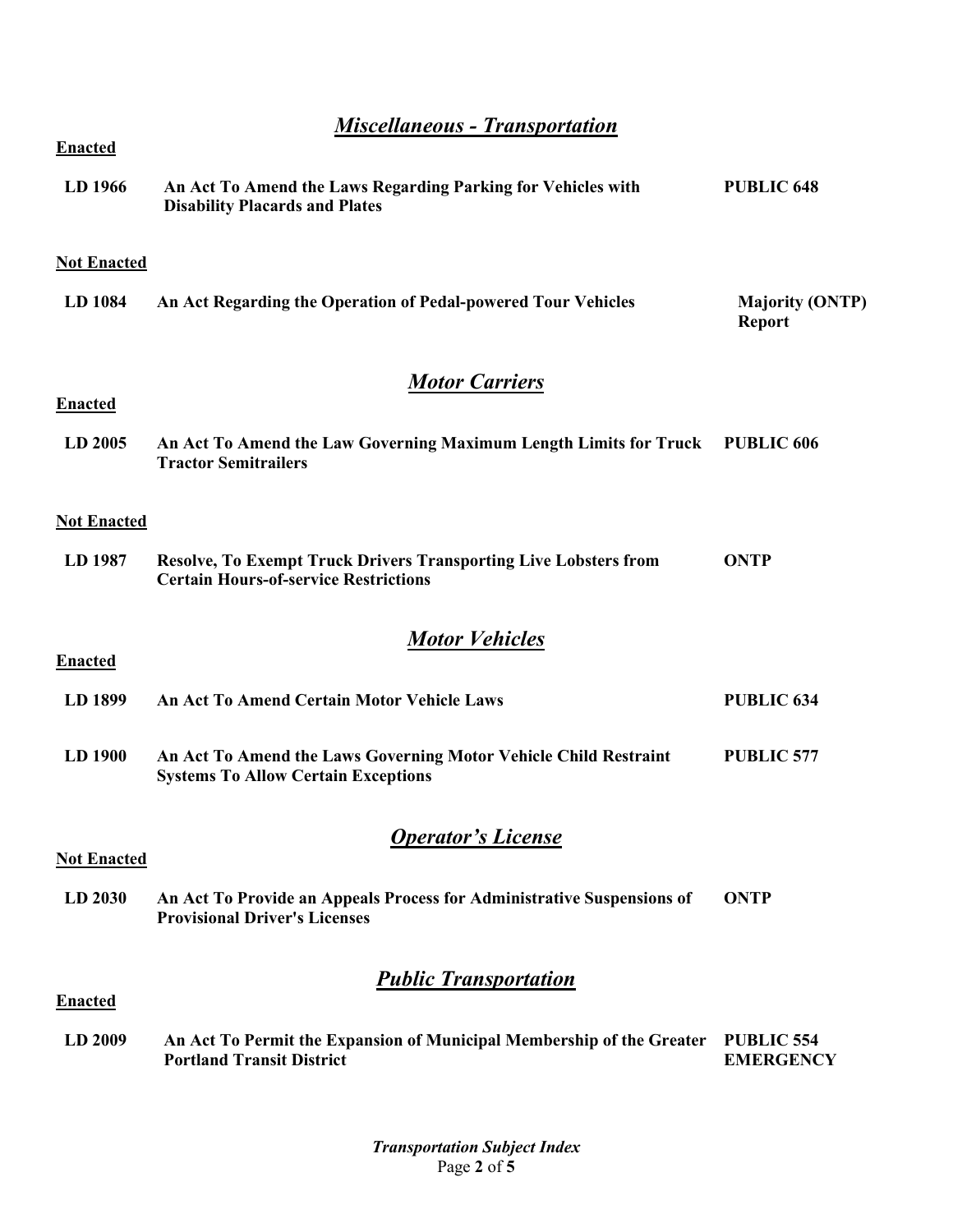*Miscellaneous - Transportation*

| <b>Enacted</b>     |                                                                                                                         |                                         |  |
|--------------------|-------------------------------------------------------------------------------------------------------------------------|-----------------------------------------|--|
| LD 1966            | An Act To Amend the Laws Regarding Parking for Vehicles with<br><b>Disability Placards and Plates</b>                   | <b>PUBLIC 648</b>                       |  |
| <b>Not Enacted</b> |                                                                                                                         |                                         |  |
| LD 1084            | An Act Regarding the Operation of Pedal-powered Tour Vehicles                                                           | <b>Majority (ONTP)</b><br><b>Report</b> |  |
|                    | <b>Motor Carriers</b>                                                                                                   |                                         |  |
| <b>Enacted</b>     |                                                                                                                         |                                         |  |
| LD 2005            | An Act To Amend the Law Governing Maximum Length Limits for Truck PUBLIC 606<br><b>Tractor Semitrailers</b>             |                                         |  |
| <b>Not Enacted</b> |                                                                                                                         |                                         |  |
| LD 1987            | <b>Resolve, To Exempt Truck Drivers Transporting Live Lobsters from</b><br><b>Certain Hours-of-service Restrictions</b> | <b>ONTP</b>                             |  |
|                    | <b>Motor Vehicles</b>                                                                                                   |                                         |  |
| <b>Enacted</b>     |                                                                                                                         |                                         |  |
| LD 1899            | <b>An Act To Amend Certain Motor Vehicle Laws</b>                                                                       | <b>PUBLIC 634</b>                       |  |
| LD 1900            | An Act To Amend the Laws Governing Motor Vehicle Child Restraint<br><b>Systems To Allow Certain Exceptions</b>          | <b>PUBLIC 577</b>                       |  |
|                    | <b>Operator's License</b>                                                                                               |                                         |  |
| <b>Not Enacted</b> |                                                                                                                         |                                         |  |
| LD 2030            | An Act To Provide an Appeals Process for Administrative Suspensions of<br><b>Provisional Driver's Licenses</b>          | <b>ONTP</b>                             |  |
| <b>Enacted</b>     | <b>Public Transportation</b>                                                                                            |                                         |  |
|                    |                                                                                                                         |                                         |  |
| LD 2009            | An Act To Permit the Expansion of Municipal Membership of the Greater<br><b>Portland Transit District</b>               | <b>PUBLIC 554</b><br><b>EMERGENCY</b>   |  |

*Transportation Subject Index* Page **2** of **5**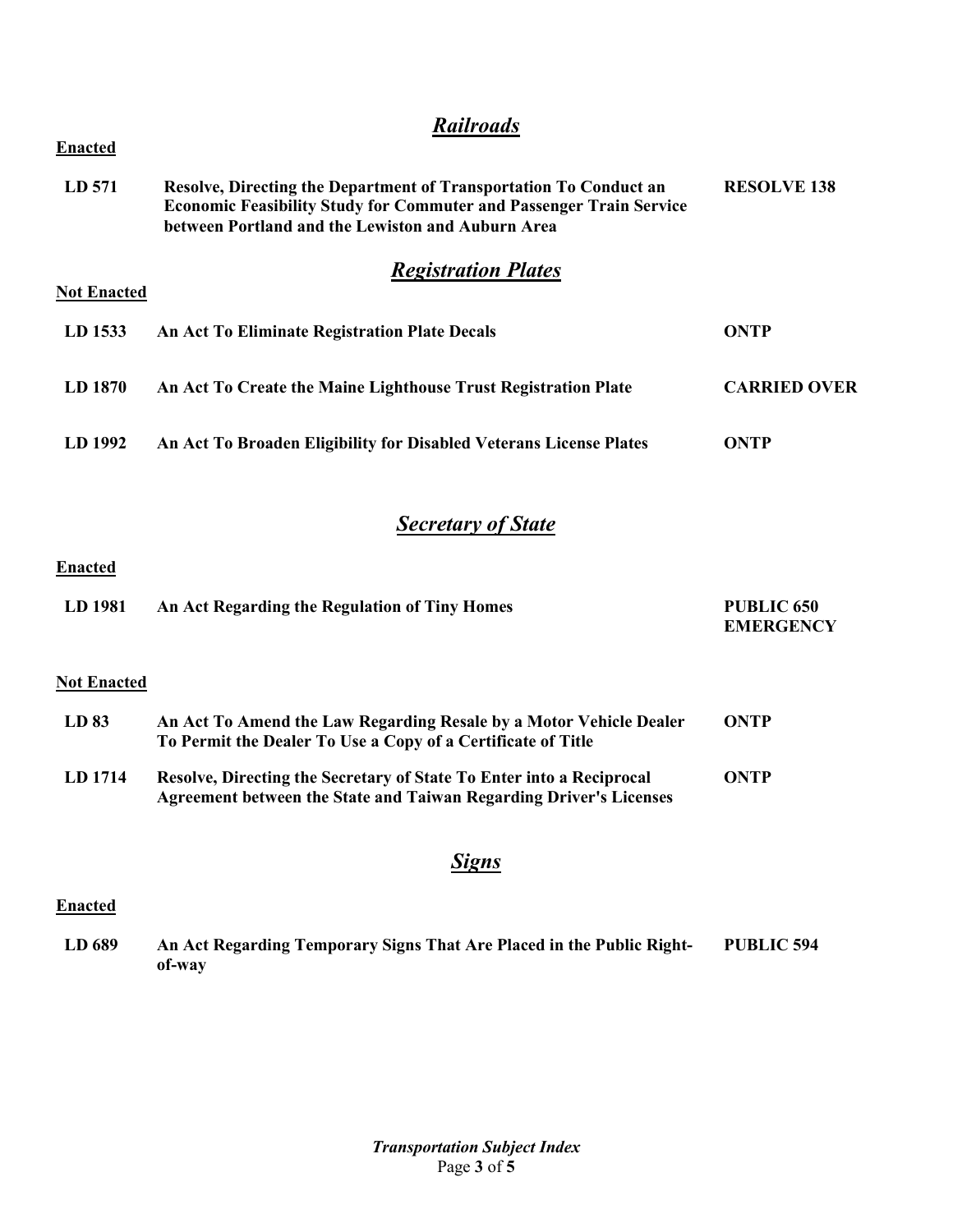# *Railroads*

| <b>Enacted</b>     |                                                                                                                                                                                                      |                     |
|--------------------|------------------------------------------------------------------------------------------------------------------------------------------------------------------------------------------------------|---------------------|
| LD 571             | Resolve, Directing the Department of Transportation To Conduct an<br><b>Economic Feasibility Study for Commuter and Passenger Train Service</b><br>between Portland and the Lewiston and Auburn Area | <b>RESOLVE 138</b>  |
| <b>Not Enacted</b> | <b>Registration Plates</b>                                                                                                                                                                           |                     |
| LD 1533            | An Act To Eliminate Registration Plate Decals                                                                                                                                                        | ONTP                |
| LD 1870            | An Act To Create the Maine Lighthouse Trust Registration Plate                                                                                                                                       | <b>CARRIED OVER</b> |
| LD 1992            | An Act To Broaden Eligibility for Disabled Veterans License Plates                                                                                                                                   | ONTP                |
|                    |                                                                                                                                                                                                      |                     |

## *Secretary of State*

#### **Enacted**

| LD 1981 | An Act Regarding the Regulation of Tiny Homes | <b>PUBLIC 650</b> |
|---------|-----------------------------------------------|-------------------|
|         |                                               | <b>EMERGENCY</b>  |

#### **Not Enacted**

| LD 83   | An Act To Amend the Law Regarding Resale by a Motor Vehicle Dealer<br>To Permit the Dealer To Use a Copy of a Certificate of Title         | <b>ONTP</b> |
|---------|--------------------------------------------------------------------------------------------------------------------------------------------|-------------|
| LD 1714 | Resolve, Directing the Secretary of State To Enter into a Reciprocal<br>Agreement between the State and Taiwan Regarding Driver's Licenses | ONTP        |

### *Signs*

#### **Enacted**

**LD 689 An Act Regarding Temporary Signs That Are Placed in the Public Rightof-way PUBLIC 594**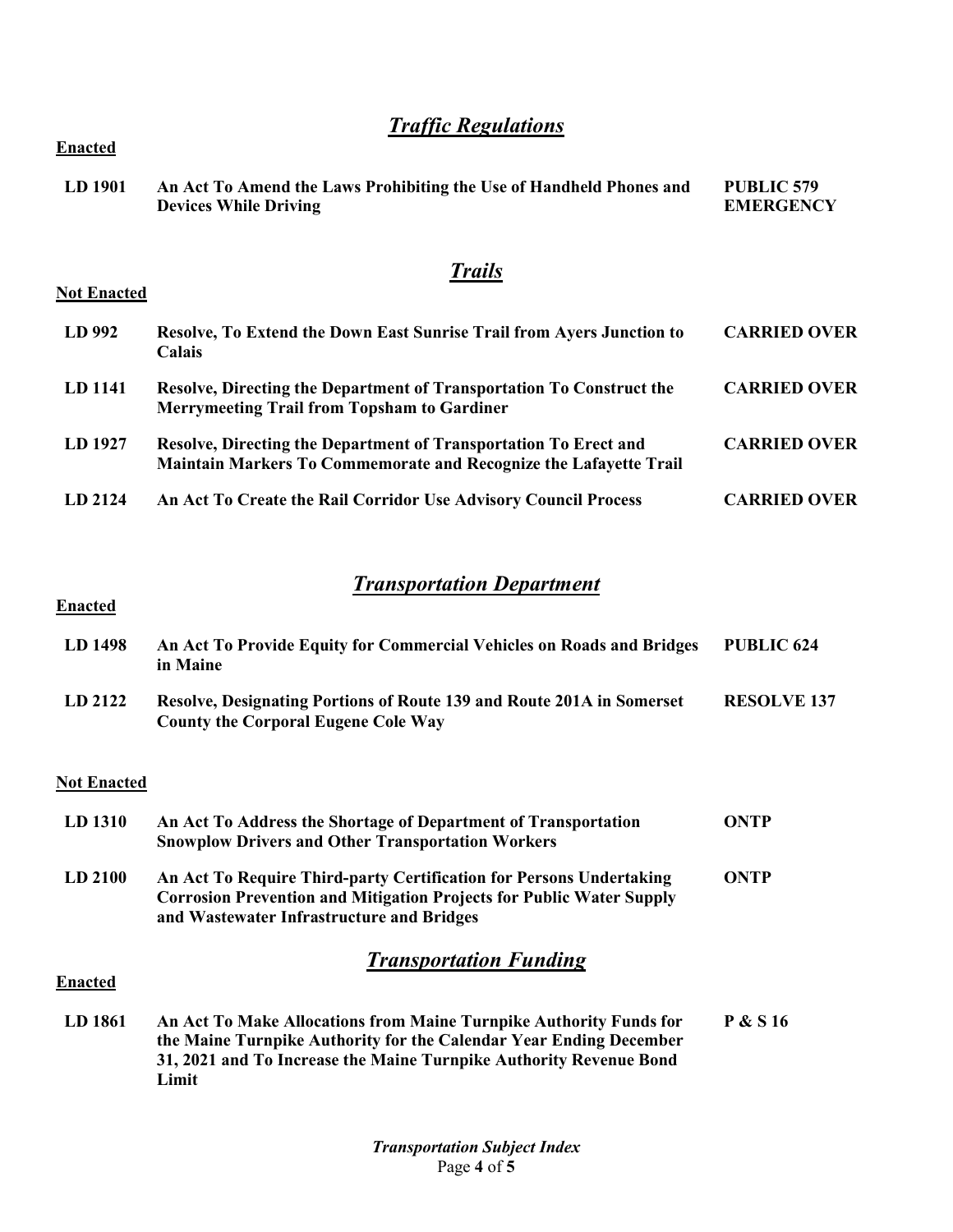# *Traffic Regulations*

| LD 1901 | An Act To Amend the Laws Prohibiting the Use of Handheld Phones and<br><b>Devices While Driving</b> | PUBLIC 579<br><b>EMERGENCY</b> |
|---------|-----------------------------------------------------------------------------------------------------|--------------------------------|
|         |                                                                                                     |                                |

# *Trails*

| <b>Not Enacted</b> |  |
|--------------------|--|
|                    |  |

**Enacted**

| LD 992  | Resolve, To Extend the Down East Sunrise Trail from Ayers Junction to<br><b>Calais</b>                                                | <b>CARRIED OVER</b> |
|---------|---------------------------------------------------------------------------------------------------------------------------------------|---------------------|
| LD 1141 | Resolve, Directing the Department of Transportation To Construct the<br><b>Merrymeeting Trail from Topsham to Gardiner</b>            | <b>CARRIED OVER</b> |
| LD 1927 | Resolve, Directing the Department of Transportation To Erect and<br>Maintain Markers To Commemorate and Recognize the Lafayette Trail | <b>CARRIED OVER</b> |
| LD 2124 | An Act To Create the Rail Corridor Use Advisory Council Process                                                                       | <b>CARRIED OVER</b> |

# *Transportation Department*

### **Enacted**

| LD 1498 | An Act To Provide Equity for Commercial Vehicles on Roads and Bridges<br>in Maine                                   | PUBLIC 624         |
|---------|---------------------------------------------------------------------------------------------------------------------|--------------------|
| LD 2122 | Resolve, Designating Portions of Route 139 and Route 201A in Somerset<br><b>County the Corporal Eugene Cole Way</b> | <b>RESOLVE 137</b> |

#### **Not Enacted**

| LD 1310        | An Act To Address the Shortage of Department of Transportation<br><b>Snowplow Drivers and Other Transportation Workers</b>                                                                      | <b>ONTP</b>         |
|----------------|-------------------------------------------------------------------------------------------------------------------------------------------------------------------------------------------------|---------------------|
| LD 2100        | An Act To Require Third-party Certification for Persons Undertaking<br><b>Corrosion Prevention and Mitigation Projects for Public Water Supply</b><br>and Wastewater Infrastructure and Bridges | ONTP                |
| <b>Enacted</b> | <b>Transportation Funding</b>                                                                                                                                                                   |                     |
| LD 1861        | An Act To Make Allocations from Maine Turnpike Authority Funds for<br>the Maine Turnpilee Authority for the Colondor Veer Ending December                                                       | <b>P &amp; S 16</b> |

**the Maine Turnpike Authority for the Calendar Year Ending December 31, 2021 and To Increase the Maine Turnpike Authority Revenue Bond Limit**